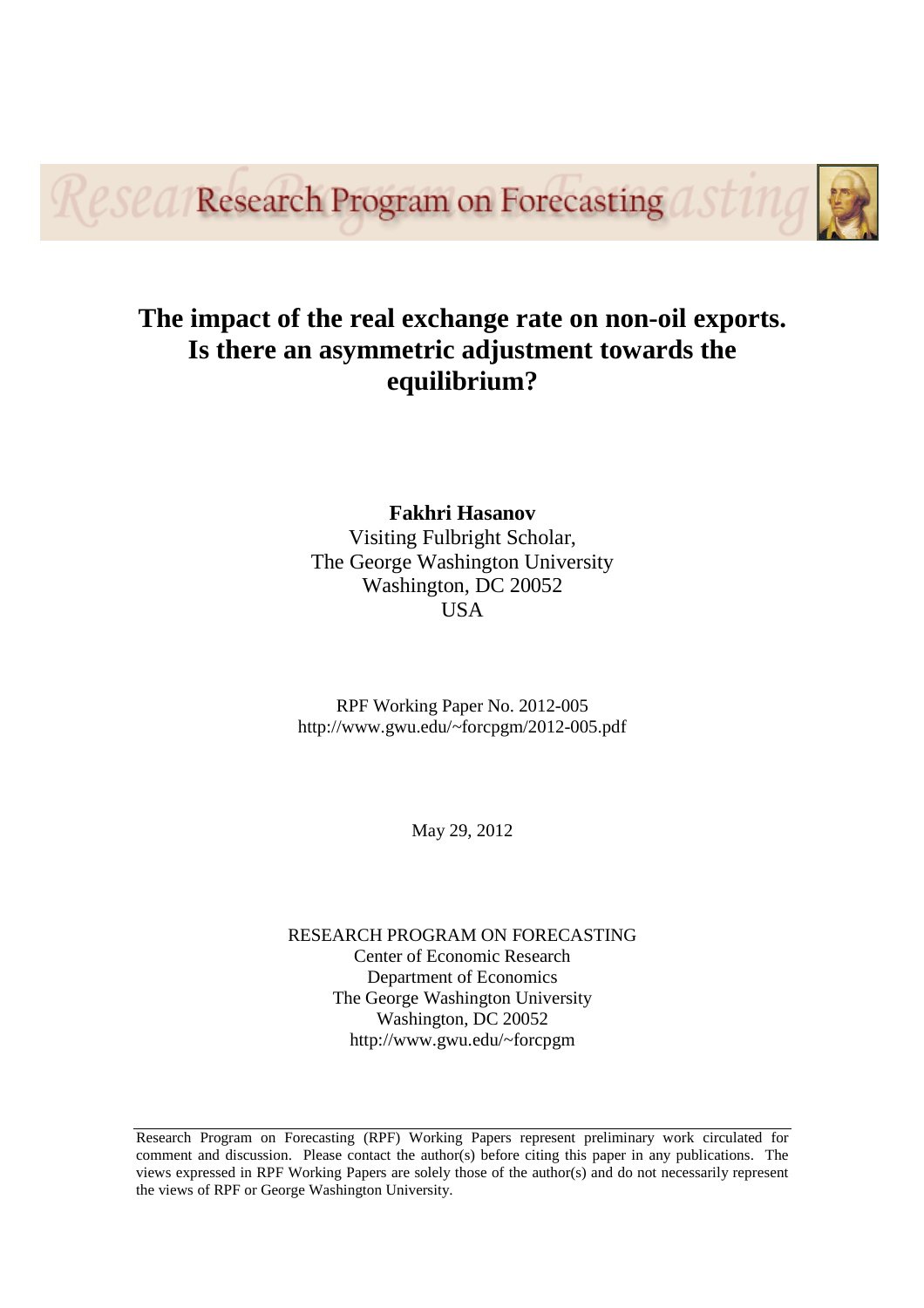Resea Research Program on Forecasting



# **The impact of the real exchange rate on non-oil exports. Is there an asymmetric adjustment towards the equilibrium?**

**Fakhri Hasanov** Visiting Fulbright Scholar, The George Washington University Washington, DC 20052 **USA** 

RPF Working Paper No. 2012-005 http://www.gwu.edu/~forcpgm/2012-005.pdf

May 29, 2012

RESEARCH PROGRAM ON FORECASTING Center of Economic Research Department of Economics The George Washington University Washington, DC 20052 http://www.gwu.edu/~forcpgm

Research Program on Forecasting (RPF) Working Papers represent preliminary work circulated for comment and discussion. Please contact the author(s) before citing this paper in any publications. The views expressed in RPF Working Papers are solely those of the author(s) and do not necessarily represent the views of RPF or George Washington University.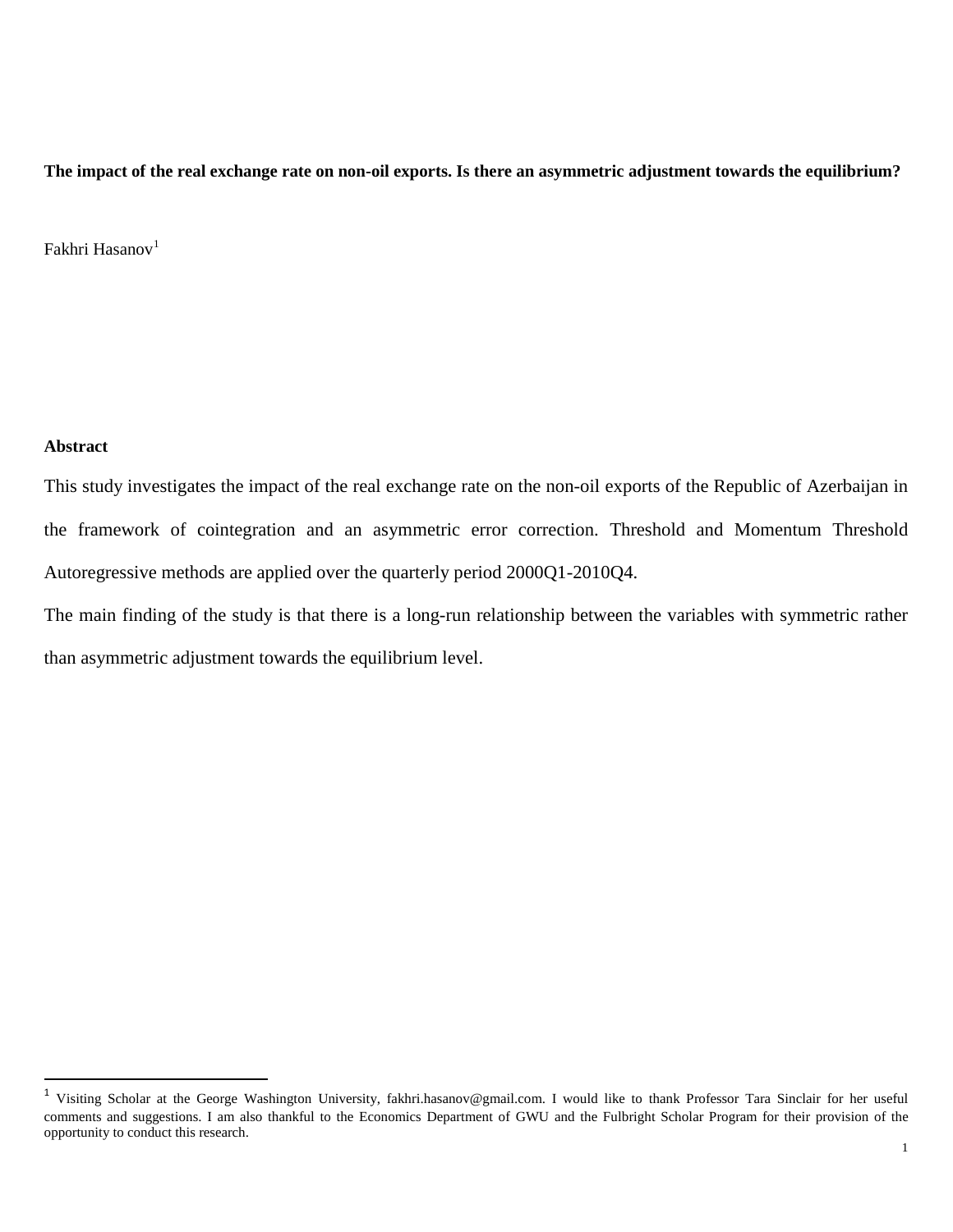**The impact of the real exchange rate on non-oil exports. Is there an asymmetric adjustment towards the equilibrium?**

Fakhri Hasanov<sup>[1](#page-1-0)</sup>

## **Abstract**

This study investigates the impact of the real exchange rate on the non-oil exports of the Republic of Azerbaijan in the framework of cointegration and an asymmetric error correction. Threshold and Momentum Threshold Autoregressive methods are applied over the quarterly period 2000Q1-2010Q4.

The main finding of the study is that there is a long-run relationship between the variables with symmetric rather than asymmetric adjustment towards the equilibrium level.

<span id="page-1-1"></span><span id="page-1-0"></span> <sup>1</sup> Visiting Scholar at the George Washington University, [fakhri.hasanov@gmail.com.](mailto:fakhri.hasanov@gmail.com) I would like to thank Professor Tara Sinclair for her useful comments and suggestions. I am also thankful to the Economics Department of GWU and the Fulbright Scholar Program for their provision of the opportunity to conduct this research.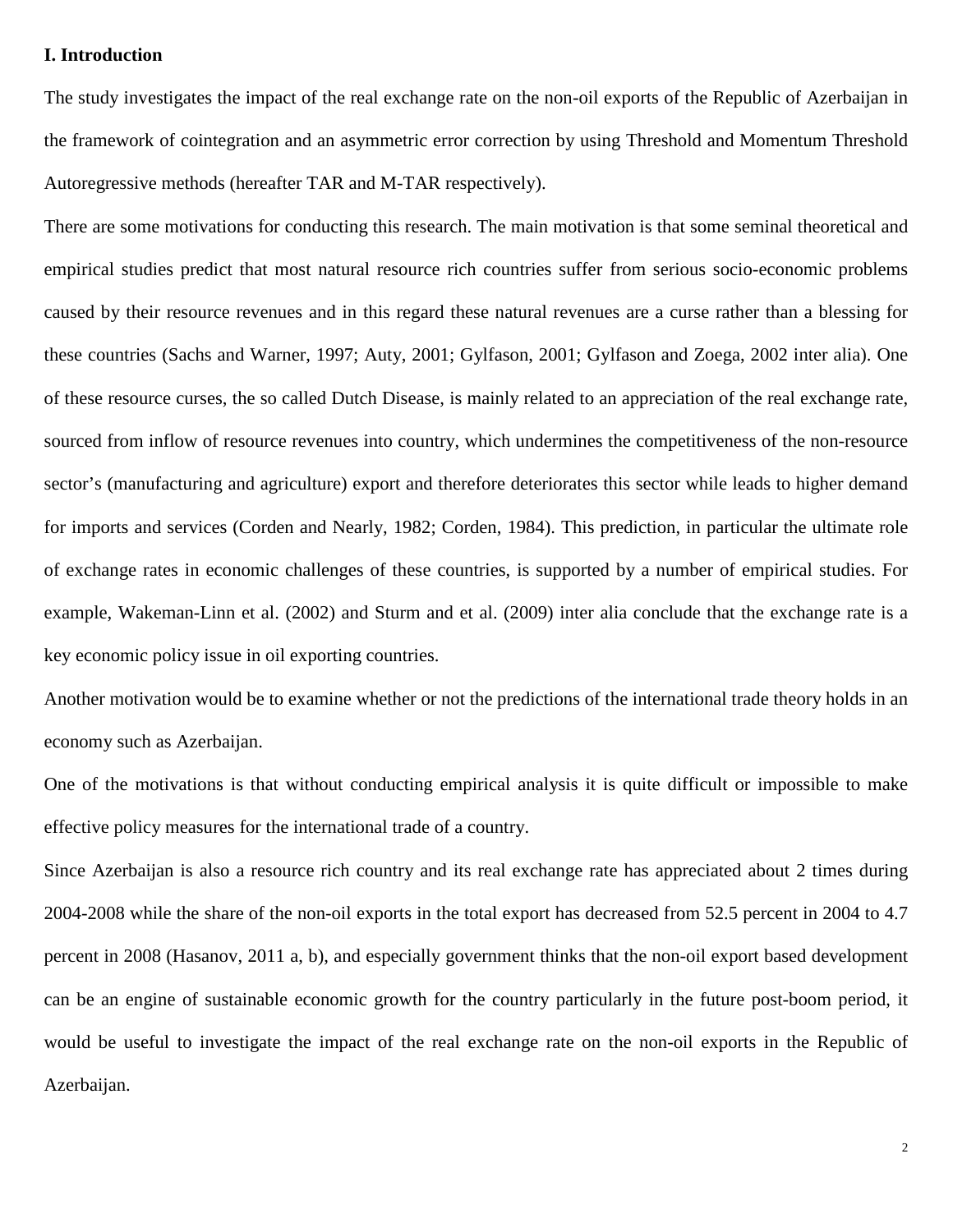# **I. Introduction**

The study investigates the impact of the real exchange rate on the non-oil exports of the Republic of Azerbaijan in the framework of cointegration and an asymmetric error correction by using Threshold and Momentum Threshold Autoregressive methods (hereafter TAR and M-TAR respectively).

There are some motivations for conducting this research. The main motivation is that some seminal theoretical and empirical studies predict that most natural resource rich countries suffer from serious socio-economic problems caused by their resource revenues and in this regard these natural revenues are a curse rather than a blessing for these countries (Sachs and Warner, 1997; Auty, 2001; Gylfason, 2001; Gylfason and Zoega, 2002 inter alia). One of these resource curses, the so called Dutch Disease, is mainly related to an appreciation of the real exchange rate, sourced from inflow of resource revenues into country, which undermines the competitiveness of the non-resource sector's (manufacturing and agriculture) export and therefore deteriorates this sector while leads to higher demand for imports and services (Corden and Nearly, 1982; Corden, 1984). This prediction, in particular the ultimate role of exchange rates in economic challenges of these countries, is supported by a number of empirical studies. For example, Wakeman-Linn et al. (2002) and Sturm and et al. (2009) inter alia conclude that the exchange rate is a key economic policy issue in oil exporting countries.

Another motivation would be to examine whether or not the predictions of the international trade theory holds in an economy such as Azerbaijan.

One of the motivations is that without conducting empirical analysis it is quite difficult or impossible to make effective policy measures for the international trade of a country.

Since Azerbaijan is also a resource rich country and its real exchange rate has appreciated about 2 times during 2004-2008 while the share of the non-oil exports in the total export has decreased from 52.5 percent in 2004 to 4.7 percent in 2008 (Hasanov, 2011 a, b), and especially government thinks that the non-oil export based development can be an engine of sustainable economic growth for the country particularly in the future post-boom period, it would be useful to investigate the impact of the real exchange rate on the non-oil exports in the Republic of Azerbaijan.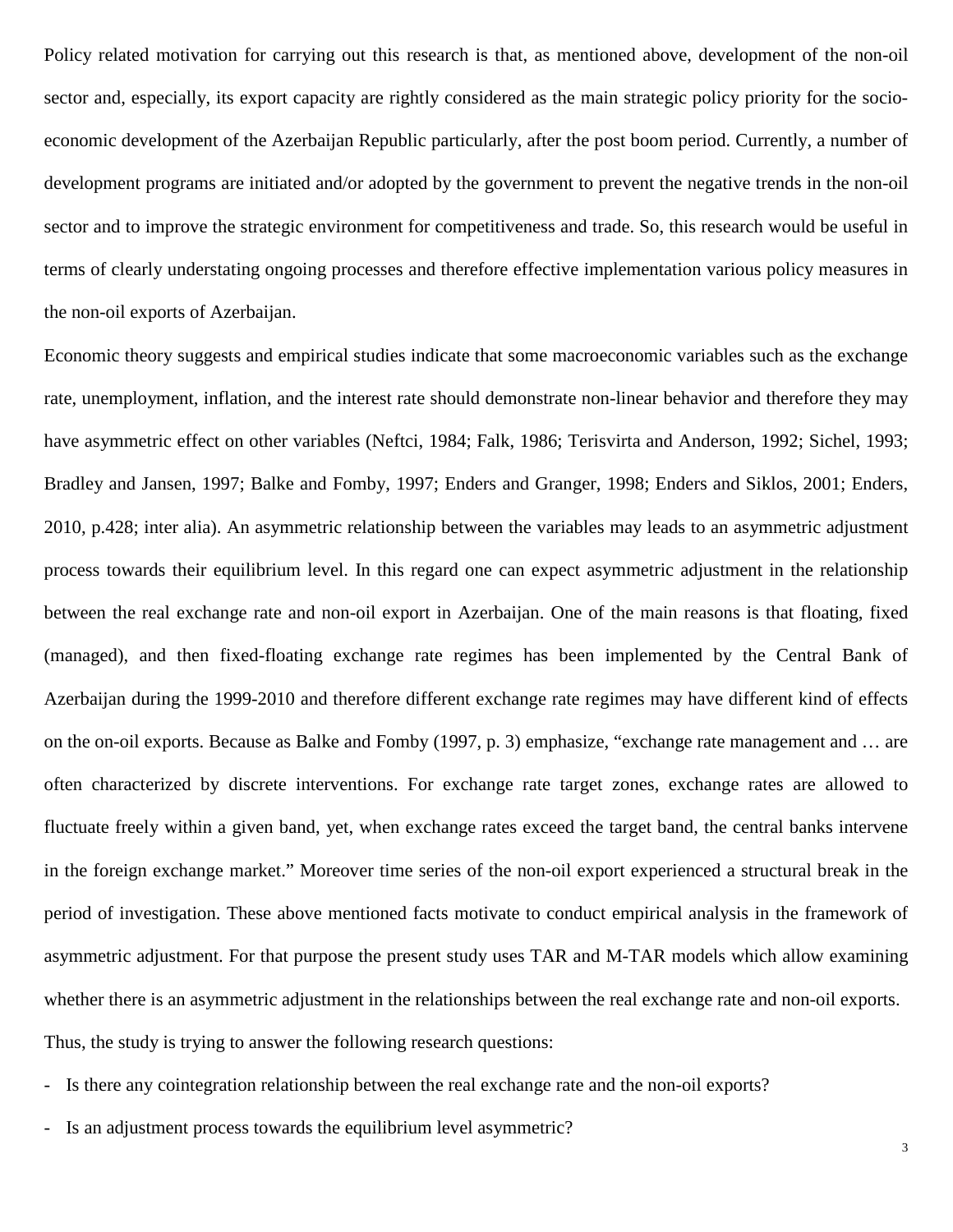Policy related motivation for carrying out this research is that, as mentioned above, development of the non-oil sector and, especially, its export capacity are rightly considered as the main strategic policy priority for the socioeconomic development of the Azerbaijan Republic particularly, after the post boom period. Currently, a number of development programs are initiated and/or adopted by the government to prevent the negative trends in the non-oil sector and to improve the strategic environment for competitiveness and trade. So, this research would be useful in terms of clearly understating ongoing processes and therefore effective implementation various policy measures in the non-oil exports of Azerbaijan.

Economic theory suggests and empirical studies indicate that some macroeconomic variables such as the exchange rate, unemployment, inflation, and the interest rate should demonstrate non-linear behavior and therefore they may have asymmetric effect on other variables (Neftci, 1984; Falk, 1986; Terisvirta and Anderson, 1992; Sichel, 1993; Bradley and Jansen, 1997; Balke and Fomby, 1997; Enders and Granger, 1998; Enders and Siklos, 2001; Enders, 2010, p.428; inter alia). An asymmetric relationship between the variables may leads to an asymmetric adjustment process towards their equilibrium level. In this regard one can expect asymmetric adjustment in the relationship between the real exchange rate and non-oil export in Azerbaijan. One of the main reasons is that floating, fixed (managed), and then fixed-floating exchange rate regimes has been implemented by the Central Bank of Azerbaijan during the 1999-2010 and therefore different exchange rate regimes may have different kind of effects on the on-oil exports. Because as Balke and Fomby (1997, p. 3) emphasize, "exchange rate management and … are often characterized by discrete interventions. For exchange rate target zones, exchange rates are allowed to fluctuate freely within a given band, yet, when exchange rates exceed the target band, the central banks intervene in the foreign exchange market." Moreover time series of the non-oil export experienced a structural break in the period of investigation. These above mentioned facts motivate to conduct empirical analysis in the framework of asymmetric adjustment. For that purpose the present study uses TAR and M-TAR models which allow examining whether there is an asymmetric adjustment in the relationships between the real exchange rate and non-oil exports. Thus, the study is trying to answer the following research questions:

- Is there any cointegration relationship between the real exchange rate and the non-oil exports?
- Is an adjustment process towards the equilibrium level asymmetric?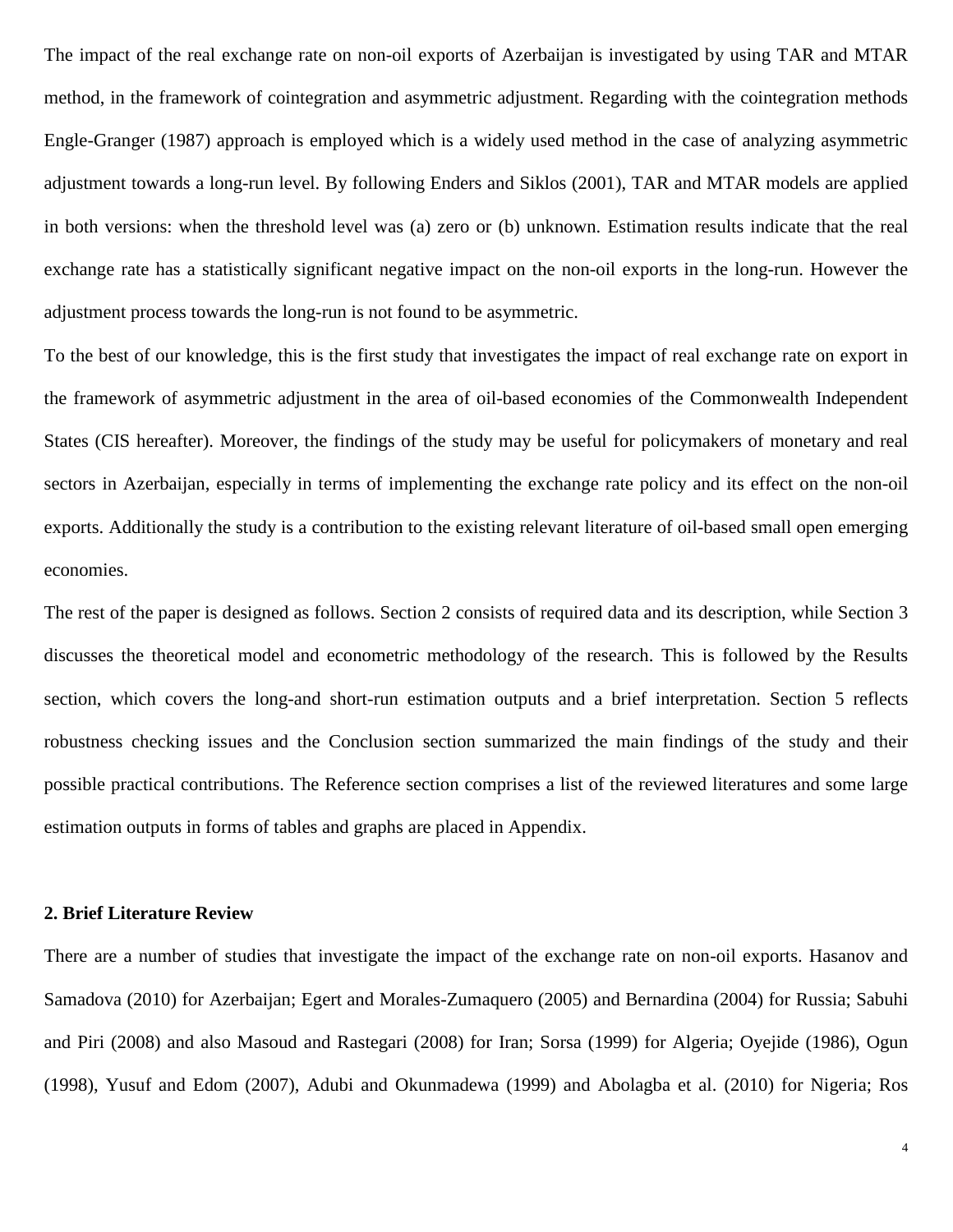The impact of the real exchange rate on non-oil exports of Azerbaijan is investigated by using TAR and MTAR method, in the framework of cointegration and asymmetric adjustment. Regarding with the cointegration methods Engle-Granger (1987) approach is employed which is a widely used method in the case of analyzing asymmetric adjustment towards a long-run level. By following Enders and Siklos (2001), TAR and MTAR models are applied in both versions: when the threshold level was (a) zero or (b) unknown. Estimation results indicate that the real exchange rate has a statistically significant negative impact on the non-oil exports in the long-run. However the adjustment process towards the long-run is not found to be asymmetric.

To the best of our knowledge, this is the first study that investigates the impact of real exchange rate on export in the framework of asymmetric adjustment in the area of oil-based economies of the Commonwealth Independent States (CIS hereafter). Moreover, the findings of the study may be useful for policymakers of monetary and real sectors in Azerbaijan, especially in terms of implementing the exchange rate policy and its effect on the non-oil exports. Additionally the study is a contribution to the existing relevant literature of oil-based small open emerging economies.

The rest of the paper is designed as follows. Section 2 consists of required data and its description, while Section 3 discusses the theoretical model and econometric methodology of the research. This is followed by the Results section, which covers the long-and short-run estimation outputs and a brief interpretation. Section 5 reflects robustness checking issues and the Conclusion section summarized the main findings of the study and their possible practical contributions. The Reference section comprises a list of the reviewed literatures and some large estimation outputs in forms of tables and graphs are placed in Appendix.

## **2. Brief Literature Review**

There are a number of studies that investigate the impact of the exchange rate on non-oil exports. Hasanov and Samadova (2010) for Azerbaijan; Egert and Morales-Zumaquero (2005) and Bernardina (2004) for Russia; Sabuhi and Piri (2008) and also Masoud and Rastegari (2008) for Iran; Sorsa (1999) for Algeria; Oyejide (1986), Ogun (1998), Yusuf and Edom (2007), Adubi and Okunmadewa (1999) and Abolagba et al. (2010) for Nigeria; Ros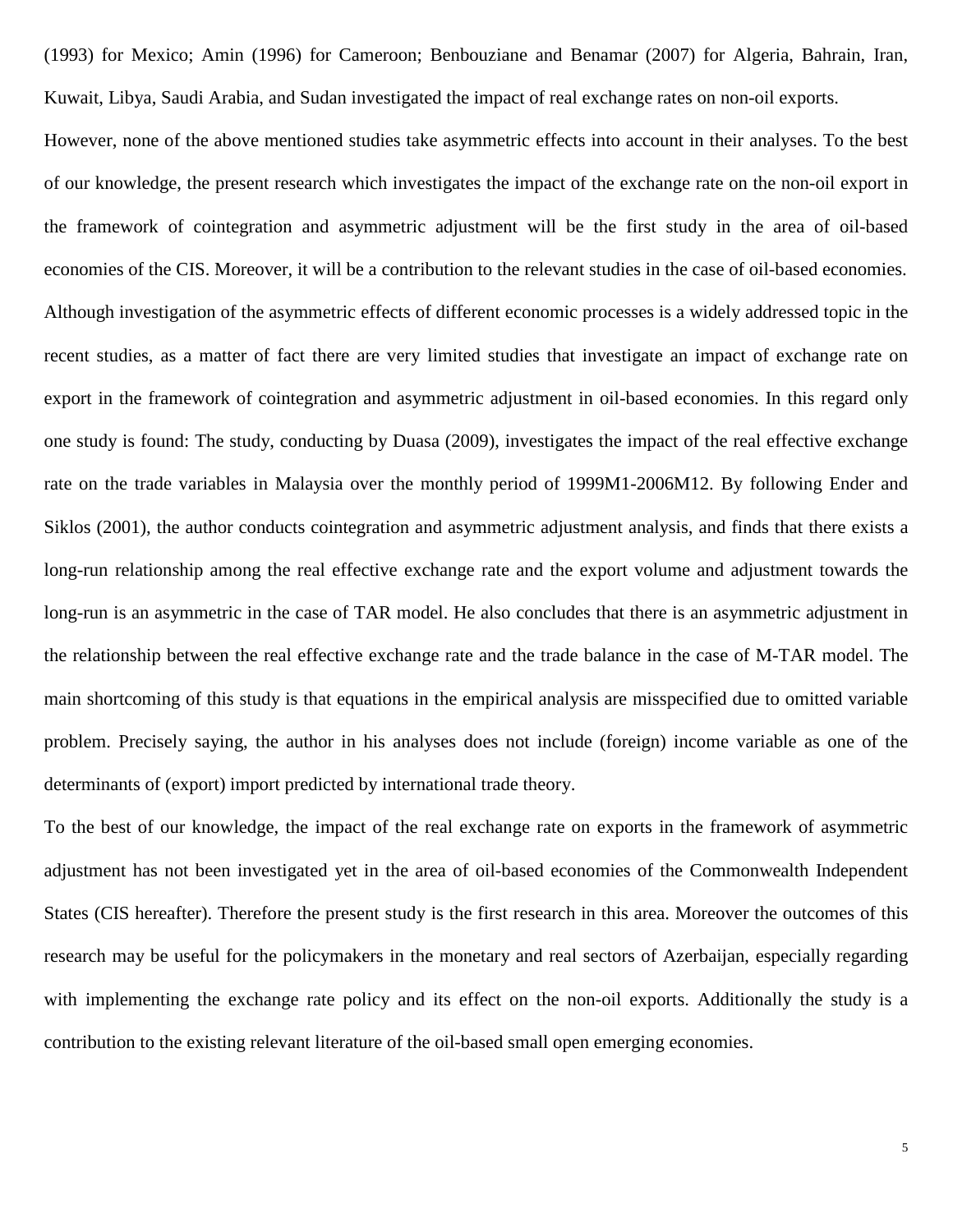(1993) for Mexico; Amin (1996) for Cameroon; Benbouziane and Benamar (2007) for Algeria, Bahrain, Iran, Kuwait, Libya, Saudi Arabia, and Sudan investigated the impact of real exchange rates on non-oil exports.

However, none of the above mentioned studies take asymmetric effects into account in their analyses. To the best of our knowledge, the present research which investigates the impact of the exchange rate on the non-oil export in the framework of cointegration and asymmetric adjustment will be the first study in the area of oil-based economies of the CIS. Moreover, it will be a contribution to the relevant studies in the case of oil-based economies. Although investigation of the asymmetric effects of different economic processes is a widely addressed topic in the recent studies, as a matter of fact there are very limited studies that investigate an impact of exchange rate on export in the framework of cointegration and asymmetric adjustment in oil-based economies. In this regard only one study is found: The study, conducting by Duasa (2009), investigates the impact of the real effective exchange rate on the trade variables in Malaysia over the monthly period of 1999M1-2006M12. By following Ender and Siklos (2001), the author conducts cointegration and asymmetric adjustment analysis, and finds that there exists a long-run relationship among the real effective exchange rate and the export volume and adjustment towards the long-run is an asymmetric in the case of TAR model. He also concludes that there is an asymmetric adjustment in the relationship between the real effective exchange rate and the trade balance in the case of M-TAR model. The main shortcoming of this study is that equations in the empirical analysis are misspecified due to omitted variable problem. Precisely saying, the author in his analyses does not include (foreign) income variable as one of the determinants of (export) import predicted by international trade theory.

To the best of our knowledge, the impact of the real exchange rate on exports in the framework of asymmetric adjustment has not been investigated yet in the area of oil-based economies of the Commonwealth Independent States (CIS hereafter). Therefore the present study is the first research in this area. Moreover the outcomes of this research may be useful for the policymakers in the monetary and real sectors of Azerbaijan, especially regarding with implementing the exchange rate policy and its effect on the non-oil exports. Additionally the study is a contribution to the existing relevant literature of the oil-based small open emerging economies.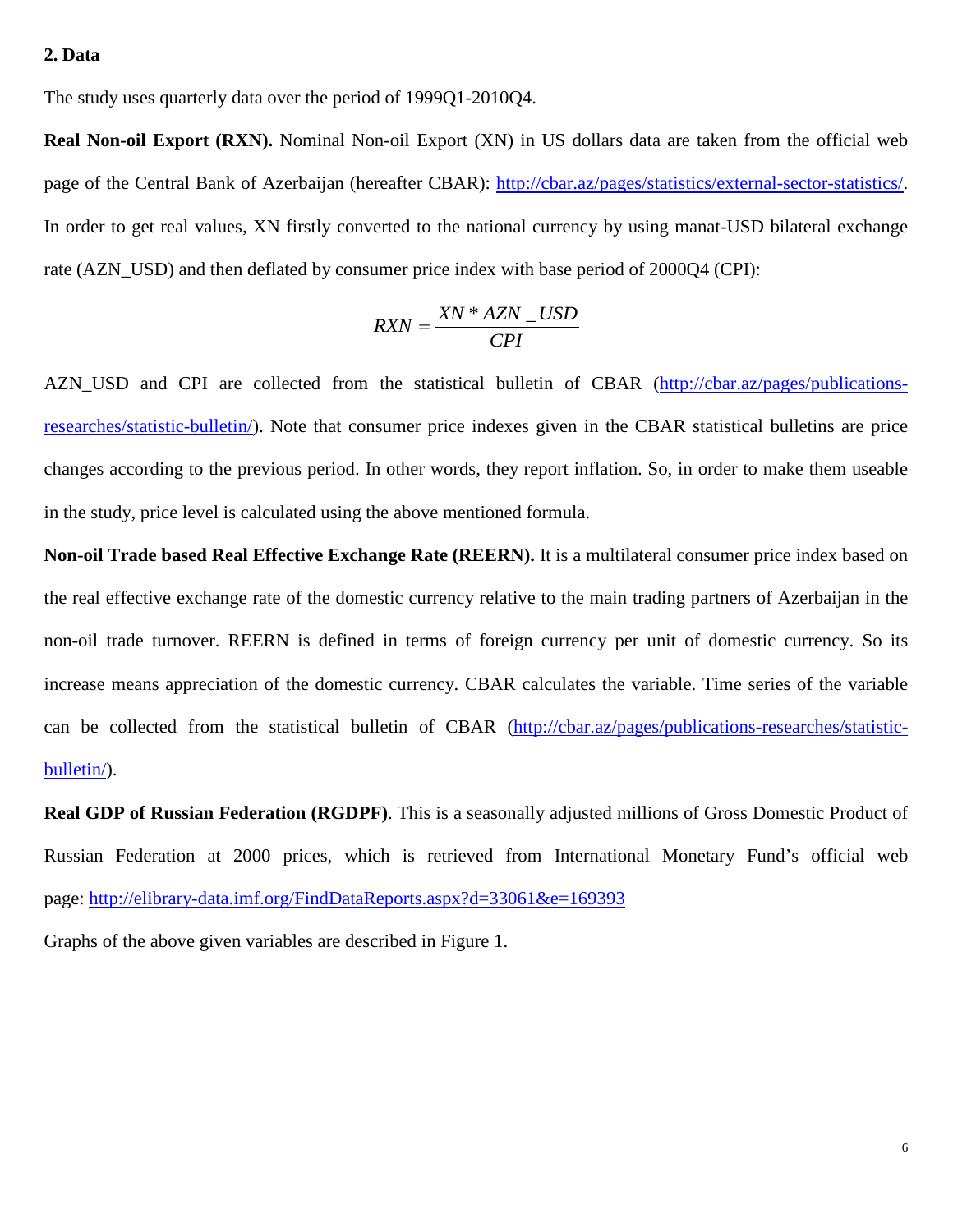# **2. Data**

The study uses quarterly data over the period of 1999Q1-2010Q4.

**Real Non-oil Export (RXN).** Nominal Non-oil Export (XN) in US dollars data are taken from the official web page of the Central Bank of Azerbaijan (hereafter CBAR): [http://cbar.az/pages/statistics/external-sector-statistics/.](http://cbar.az/pages/statistics/external-sector-statistics/) In order to get real values, XN firstly converted to the national currency by using manat-USD bilateral exchange rate (AZN\_USD) and then deflated by consumer price index with base period of 2000Q4 (CPI):

$$
R X N = \frac{X N * A Z N \_US D}{C P I}
$$

AZN\_USD and CPI are collected from the statistical bulletin of CBAR [\(http://cbar.az/pages/publications](http://cbar.az/pages/publications-researches/statistic-bulletin/)[researches/statistic-bulletin/\)](http://cbar.az/pages/publications-researches/statistic-bulletin/). Note that consumer price indexes given in the CBAR statistical bulletins are price changes according to the previous period. In other words, they report inflation. So, in order to make them useable in the study, price level is calculated using the above mentioned formula.

**Non-oil Trade based Real Effective Exchange Rate (REERN).** It is a multilateral consumer price index based on the real effective exchange rate of the domestic currency relative to the main trading partners of Azerbaijan in the non-oil trade turnover. REERN is defined in terms of foreign currency per unit of domestic currency. So its increase means appreciation of the domestic currency. CBAR calculates the variable. Time series of the variable can be collected from the statistical bulletin of CBAR [\(http://cbar.az/pages/publications-researches/statistic](http://cbar.az/pages/publications-researches/statistic-bulletin/)[bulletin/\)](http://cbar.az/pages/publications-researches/statistic-bulletin/).

**Real GDP of Russian Federation (RGDPF)**. This is a seasonally adjusted millions of Gross Domestic Product of Russian Federation at 2000 prices, which is retrieved from International Monetary Fund's official web page:<http://elibrary-data.imf.org/FindDataReports.aspx?d=33061&e=169393> Graphs of the above given variables are described in Figure 1.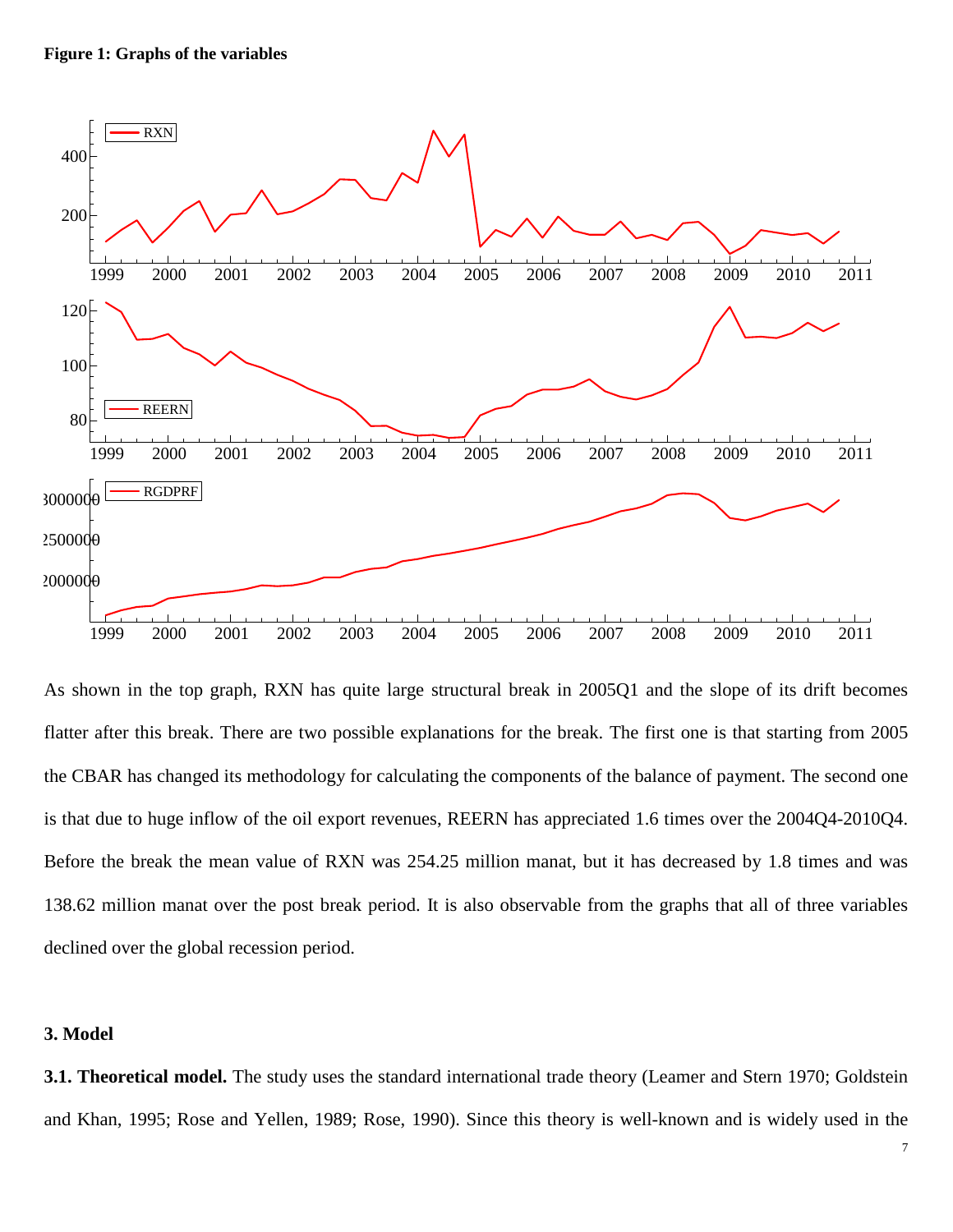

As shown in the top graph, RXN has quite large structural break in 2005Q1 and the slope of its drift becomes flatter after this break. There are two possible explanations for the break. The first one is that starting from 2005 the CBAR has changed its methodology for calculating the components of the balance of payment. The second one is that due to huge inflow of the oil export revenues, REERN has appreciated 1.6 times over the 2004Q4-2010Q4. Before the break the mean value of RXN was 254.25 million manat, but it has decreased by 1.8 times and was 138.62 million manat over the post break period. It is also observable from the graphs that all of three variables declined over the global recession period.

# **3. Model**

**3.1. Theoretical model.** The study uses the standard international trade theory (Leamer and Stern 1970; Goldstein and Khan, 1995; Rose and Yellen, 1989; Rose, 1990). Since this theory is well-known and is widely used in the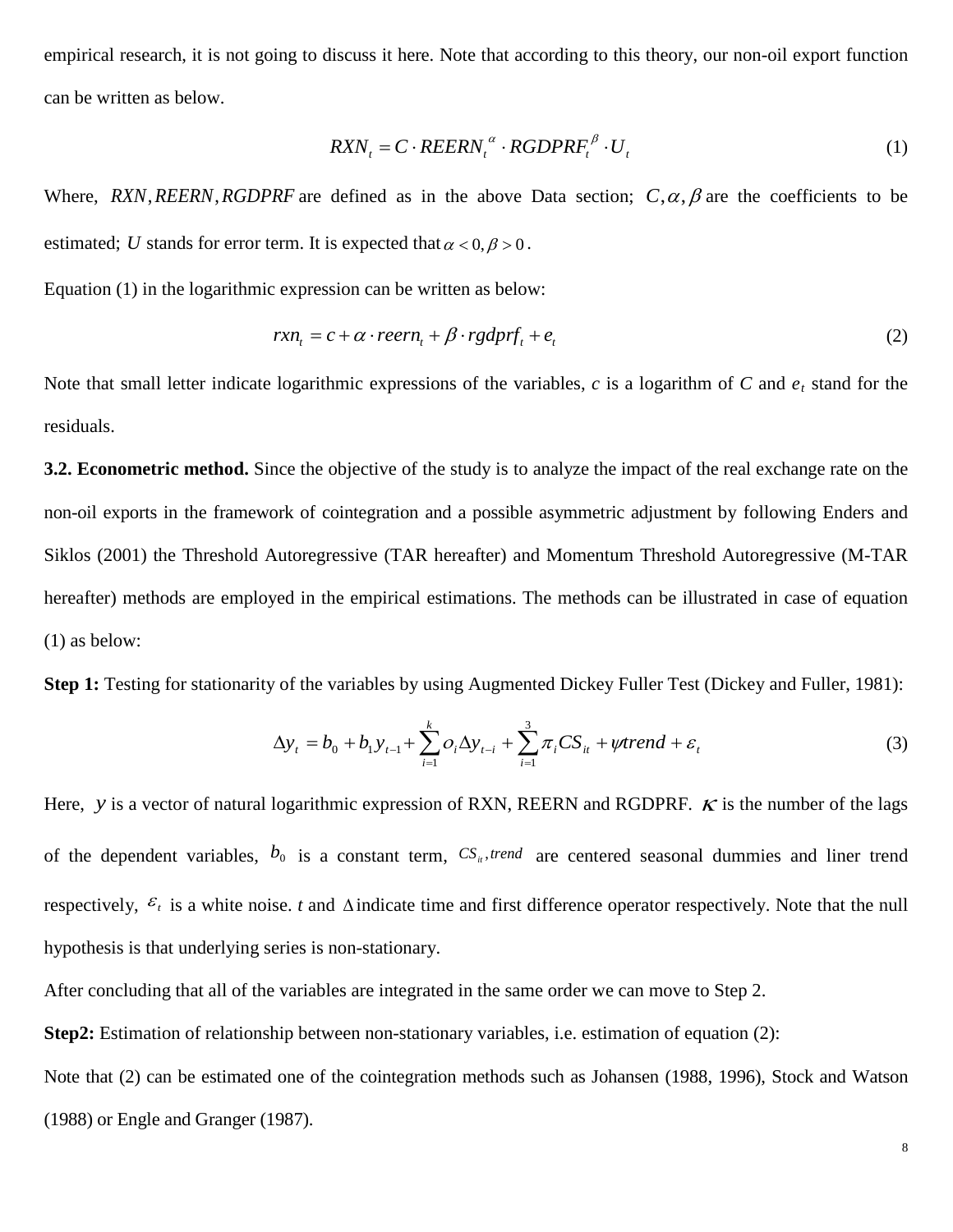empirical research, it is not going to discuss it here. Note that according to this theory, our non-oil export function can be written as below.

$$
R X N_t = C \cdot R E E R N_t^{\alpha} \cdot R G D P R F_t^{\beta} \cdot U_t
$$
\n<sup>(1)</sup>

Where,  $RXN$ ,  $REERN$ ,  $RGDPRF$  are defined as in the above Data section;  $C, \alpha, \beta$  are the coefficients to be estimated; *U* stands for error term. It is expected that  $\alpha < 0, \beta > 0$ .

Equation (1) in the logarithmic expression can be written as below:

$$
rxn_t = c + \alpha \cdot reern_t + \beta \cdot rgdprf_t + e_t
$$
\n(2)

Note that small letter indicate logarithmic expressions of the variables,  $c$  is a logarithm of  $C$  and  $e_t$  stand for the residuals.

**3.2. Econometric method.** Since the objective of the study is to analyze the impact of the real exchange rate on the non-oil exports in the framework of cointegration and a possible asymmetric adjustment by following Enders and Siklos (2001) the Threshold Autoregressive (TAR hereafter) and Momentum Threshold Autoregressive (M-TAR hereafter) methods are employed in the empirical estimations. The methods can be illustrated in case of equation (1) as below:

**Step 1:** Testing for stationarity of the variables by using Augmented Dickey Fuller Test (Dickey and Fuller, 1981):

$$
\Delta y_{t} = b_{0} + b_{1} y_{t-1} + \sum_{i=1}^{k} o_{i} \Delta y_{t-i} + \sum_{i=1}^{3} \pi_{i} CS_{it} + \psi trend + \varepsilon_{t}
$$
\n(3)

Here, *y* is a vector of natural logarithmic expression of RXN, REERN and RGDPRF.  $\kappa$  is the number of the lags of the dependent variables,  $b_0$  is a constant term,  $CS_i$ , trend are centered seasonal dummies and liner trend respectively,  $\varepsilon_t$  is a white noise. *t* and  $\Delta$ indicate time and first difference operator respectively. Note that the null hypothesis is that underlying series is non-stationary.

After concluding that all of the variables are integrated in the same order we can move to Step 2.

**Step2:** Estimation of relationship between non-stationary variables, i.e. estimation of equation (2):

Note that (2) can be estimated one of the cointegration methods such as Johansen (1988, 1996), Stock and Watson (1988) or Engle and Granger (1987).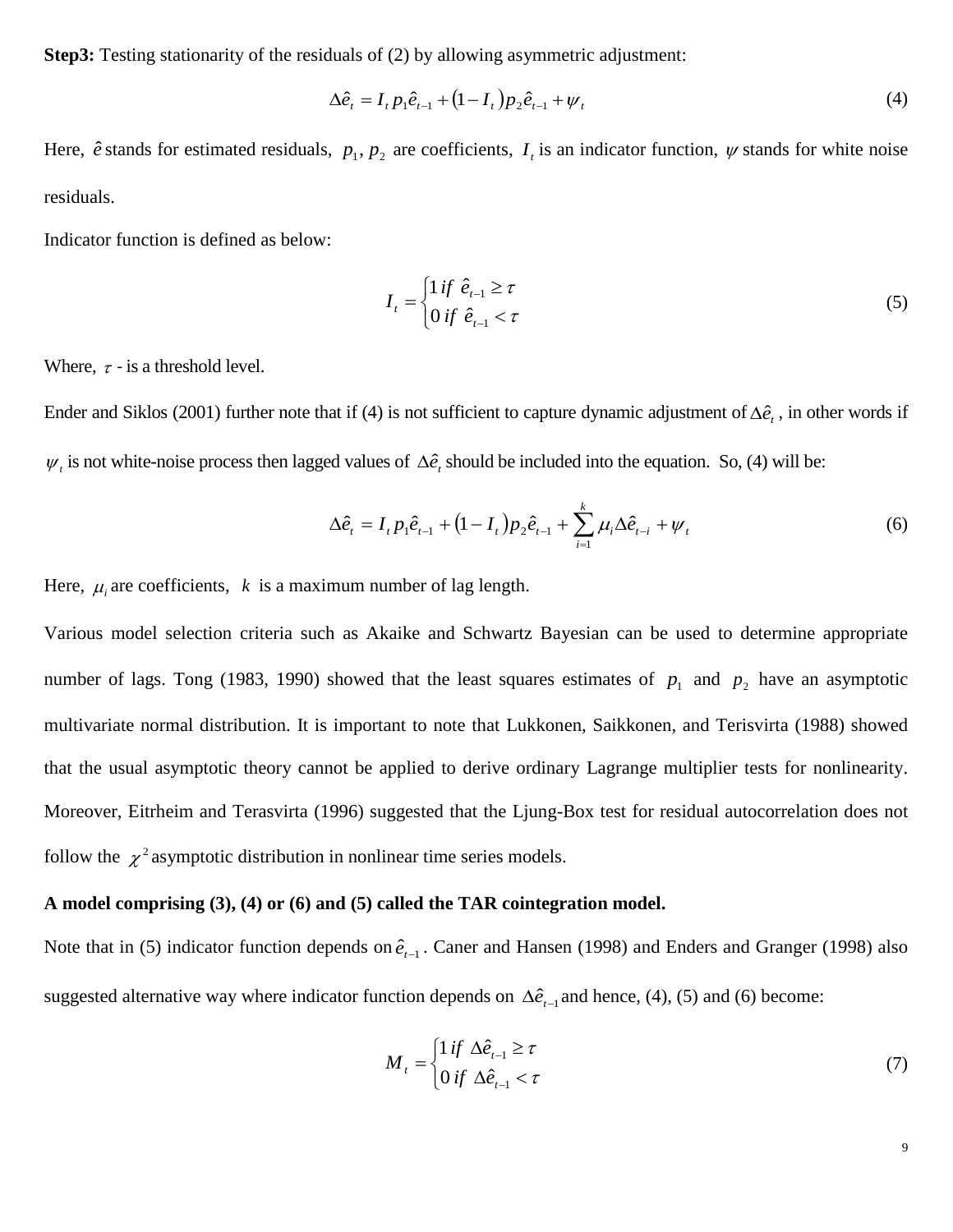**Step3:** Testing stationarity of the residuals of (2) by allowing asymmetric adjustment:

$$
\Delta \hat{e}_t = I_t p_1 \hat{e}_{t-1} + (1 - I_t) p_2 \hat{e}_{t-1} + \psi_t
$$
\n(4)

Here,  $\hat{e}$  stands for estimated residuals,  $p_1, p_2$  are coefficients,  $I_t$  is an indicator function,  $\psi$  stands for white noise residuals.

Indicator function is defined as below:

$$
I_{t} = \begin{cases} 1 \text{ if } \hat{e}_{t-1} \geq \tau \\ 0 \text{ if } \hat{e}_{t-1} < \tau \end{cases} \tag{5}
$$

Where,  $\tau$  - is a threshold level.

Ender and Siklos (2001) further note that if (4) is not sufficient to capture dynamic adjustment of  $\Delta \hat{e}$ , in other words if  $\psi_i$  is not white-noise process then lagged values of  $\Delta \hat{e}_i$ , should be included into the equation. So, (4) will be:

$$
\Delta \hat{e}_t = I_t p_1 \hat{e}_{t-1} + (1 - I_t) p_2 \hat{e}_{t-1} + \sum_{i=1}^k \mu_i \Delta \hat{e}_{t-i} + \psi_t
$$
\n(6)

Here,  $\mu_i$  are coefficients,  $k$  is a maximum number of lag length.

Various model selection criteria such as Akaike and Schwartz Bayesian can be used to determine appropriate number of lags. Tong (1983, 1990) showed that the least squares estimates of  $p_1$  and  $p_2$  have an asymptotic multivariate normal distribution. It is important to note that Lukkonen, Saikkonen, and Terisvirta (1988) showed that the usual asymptotic theory cannot be applied to derive ordinary Lagrange multiplier tests for nonlinearity. Moreover, Eitrheim and Terasvirta (1996) suggested that the Ljung-Box test for residual autocorrelation does not follow the  $\chi^2$  asymptotic distribution in nonlinear time series models.

## **A model comprising (3), (4) or (6) and (5) called the TAR cointegration model.**

Note that in (5) indicator function depends on  $\hat{e}_{t-1}$ . Caner and Hansen (1998) and Enders and Granger (1998) also suggested alternative way where indicator function depends on  $\Delta \hat{e}_{t-1}$  and hence, (4), (5) and (6) become:

$$
M_{t} = \begin{cases} 1 \text{ if } \Delta \hat{e}_{t-1} \ge \tau \\ 0 \text{ if } \Delta \hat{e}_{t-1} < \tau \end{cases} \tag{7}
$$

9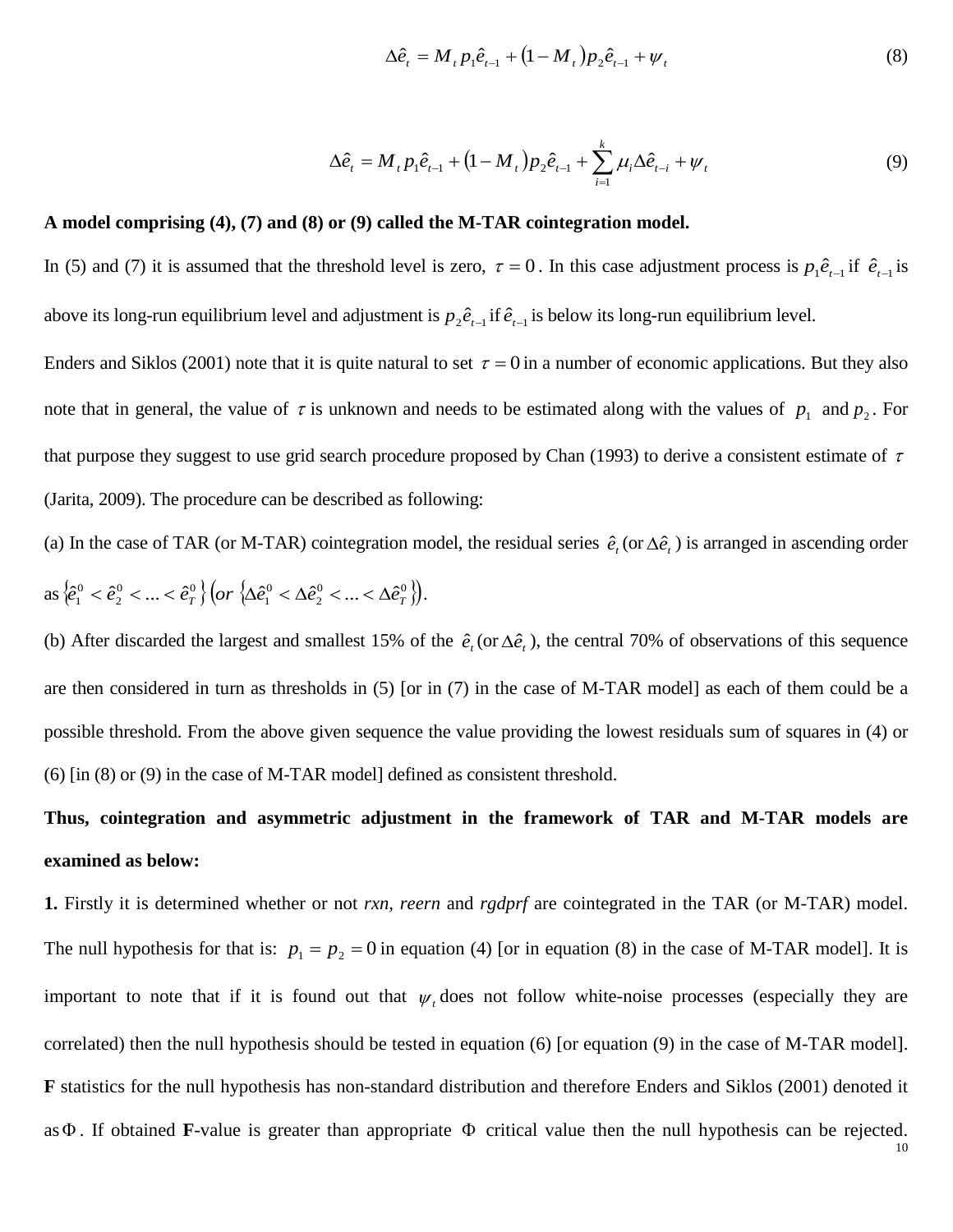$$
\Delta \hat{e}_t = M_t p_1 \hat{e}_{t-1} + (1 - M_t) p_2 \hat{e}_{t-1} + \psi_t
$$
\n(8)

$$
\Delta \hat{e}_t = M_t p_1 \hat{e}_{t-1} + (1 - M_t) p_2 \hat{e}_{t-1} + \sum_{i=1}^k \mu_i \Delta \hat{e}_{t-i} + \psi_t
$$
\n(9)

## **A model comprising (4), (7) and (8) or (9) called the M-TAR cointegration model.**

In (5) and (7) it is assumed that the threshold level is zero,  $\tau = 0$ . In this case adjustment process is  $p_1 \hat{e}_{t-1}$  if  $\hat{e}_{t-1}$  is above its long-run equilibrium level and adjustment is  $p_2 \hat{e}_{t-1}$  if  $\hat{e}_{t-1}$  is below its long-run equilibrium level.

Enders and Siklos (2001) note that it is quite natural to set  $\tau = 0$  in a number of economic applications. But they also note that in general, the value of  $\tau$  is unknown and needs to be estimated along with the values of  $p_1$  and  $p_2$ . For that purpose they suggest to use grid search procedure proposed by Chan (1993) to derive a consistent estimate of  $\tau$ (Jarita, 2009). The procedure can be described as following:

(a) In the case of TAR (or M-TAR) cointegration model, the residual series  $\hat{e}_t$  (or  $\Delta \hat{e}_t$ ) is arranged in ascending order as  $\left\{ \hat{e}_{1}^{0} < \hat{e}_{2}^{0} < ... < \hat{e}_{T}^{0} \right\}$  $\mathbf{0}$  $\left\{\hat{e}_{1}^{0}<\hat{e}_{2}^{0}<...<\hat{e}_{T}^{0}\right\}\left( or\right. \left\{\!\Delta\hat{e}_{1}^{0}<\Delta\hat{e}_{2}^{0}<...<\Delta\hat{e}_{T}^{0}\right\} \right)$  $\mathbf{0}$  $or \; \langle \Delta \hat{e}_1^0 < \Delta \hat{e}_2^0 < ... < \Delta \hat{e}_T^0 \rangle \big).$ 

(b) After discarded the largest and smallest 15% of the  $\hat{e}_t$  (or  $\Delta \hat{e}_t$ ), the central 70% of observations of this sequence are then considered in turn as thresholds in (5) [or in (7) in the case of M-TAR model] as each of them could be a possible threshold. From the above given sequence the value providing the lowest residuals sum of squares in (4) or (6) [in (8) or (9) in the case of M-TAR model] defined as consistent threshold.

# **Thus, cointegration and asymmetric adjustment in the framework of TAR and M-TAR models are examined as below:**

**1.** Firstly it is determined whether or not *rxn, reern* and *rgdprf* are cointegrated in the TAR (or M-TAR) model. The null hypothesis for that is:  $p_1 = p_2 = 0$  in equation (4) [or in equation (8) in the case of M-TAR model]. It is important to note that if it is found out that  $\psi_t$  does not follow white-noise processes (especially they are correlated) then the null hypothesis should be tested in equation (6) [or equation (9) in the case of M-TAR model]. **F** statistics for the null hypothesis has non-standard distribution and therefore Enders and Siklos (2001) denoted it asΦ . If obtained **F**-value is greater than appropriate Φ critical value then the null hypothesis can be rejected.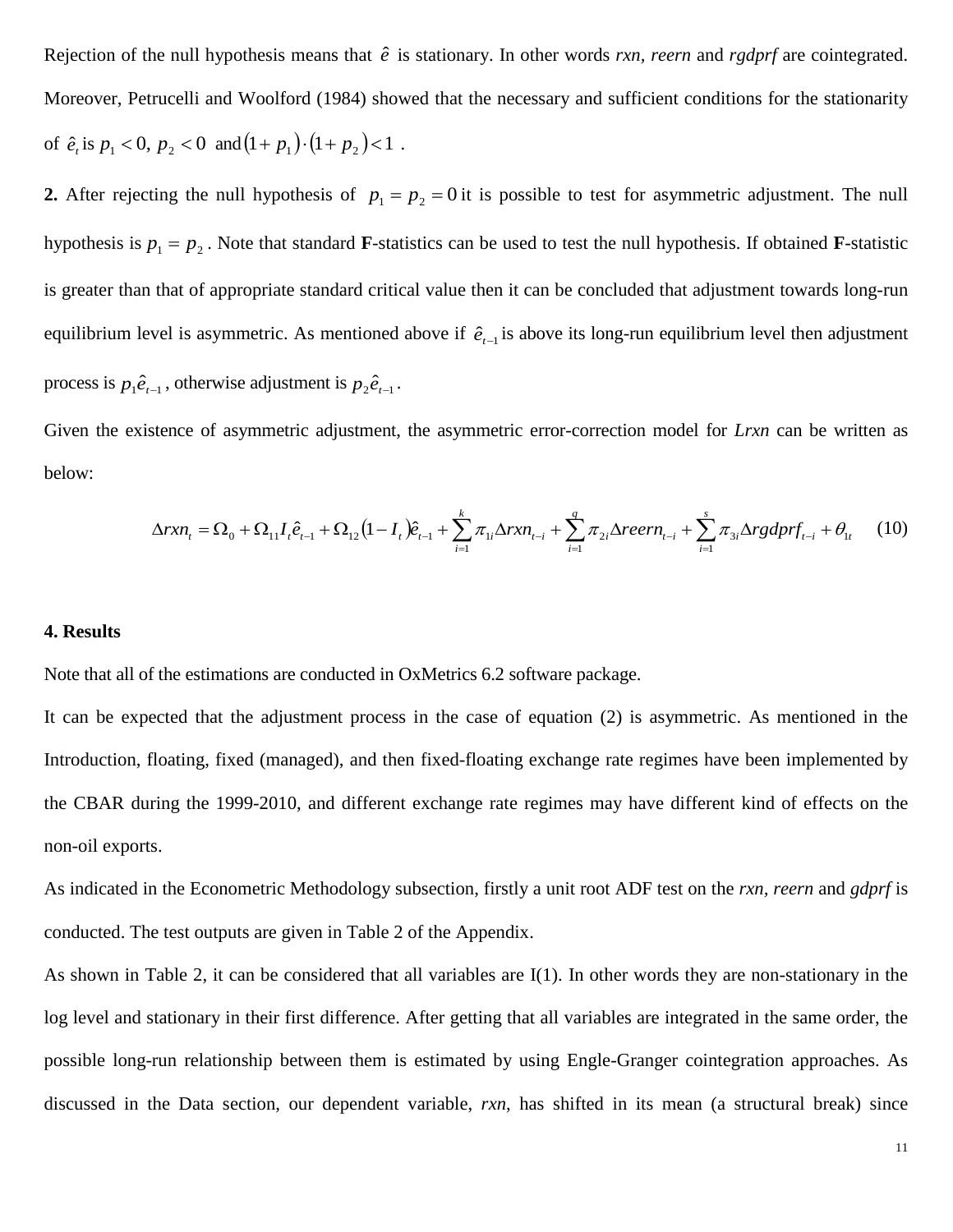Rejection of the null hypothesis means that  $\hat{e}$  is stationary. In other words *rxn, reern* and *rgdprf* are cointegrated. Moreover, Petrucelli and Woolford (1984) showed that the necessary and sufficient conditions for the stationarity of  $\hat{e}_t$  is  $p_1 < 0$ ,  $p_2 < 0$  and  $(1 + p_1) \cdot (1 + p_2) < 1$ .

**2.** After rejecting the null hypothesis of  $p_1 = p_2 = 0$  it is possible to test for asymmetric adjustment. The null hypothesis is  $p_1 = p_2$ . Note that standard **F**-statistics can be used to test the null hypothesis. If obtained **F**-statistic is greater than that of appropriate standard critical value then it can be concluded that adjustment towards long-run equilibrium level is asymmetric. As mentioned above if  $\hat{e}_{t-1}$  is above its long-run equilibrium level then adjustment process is  $p_1 \hat{e}_{t-1}$ , otherwise adjustment is  $p_2 \hat{e}_{t-1}$ .

Given the existence of asymmetric adjustment, the asymmetric error-correction model for *Lrxn* can be written as below:

$$
\Delta rxn_{t} = \Omega_{0} + \Omega_{11}I_{t}\hat{e}_{t-1} + \Omega_{12}(1 - I_{t})\hat{e}_{t-1} + \sum_{i=1}^{k} \pi_{1i}\Delta rxn_{t-i} + \sum_{i=1}^{q} \pi_{2i}\Delta reern_{t-i} + \sum_{i=1}^{s} \pi_{3i}\Delta rgdprf_{t-i} + \theta_{1t}
$$
 (10)

# **4. Results**

Note that all of the estimations are conducted in OxMetrics 6.2 software package.

It can be expected that the adjustment process in the case of equation (2) is asymmetric. As mentioned in the Introduction, floating, fixed (managed), and then fixed-floating exchange rate regimes have been implemented by the CBAR during the 1999-2010, and different exchange rate regimes may have different kind of effects on the non-oil exports.

As indicated in the Econometric Methodology subsection, firstly a unit root ADF test on the *rxn, reern* and *gdprf* is conducted. The test outputs are given in Table 2 of the Appendix.

As shown in Table 2, it can be considered that all variables are I(1). In other words they are non-stationary in the log level and stationary in their first difference. After getting that all variables are integrated in the same order, the possible long-run relationship between them is estimated by using Engle-Granger cointegration approaches. As discussed in the Data section, our dependent variable, *rxn*, has shifted in its mean (a structural break) since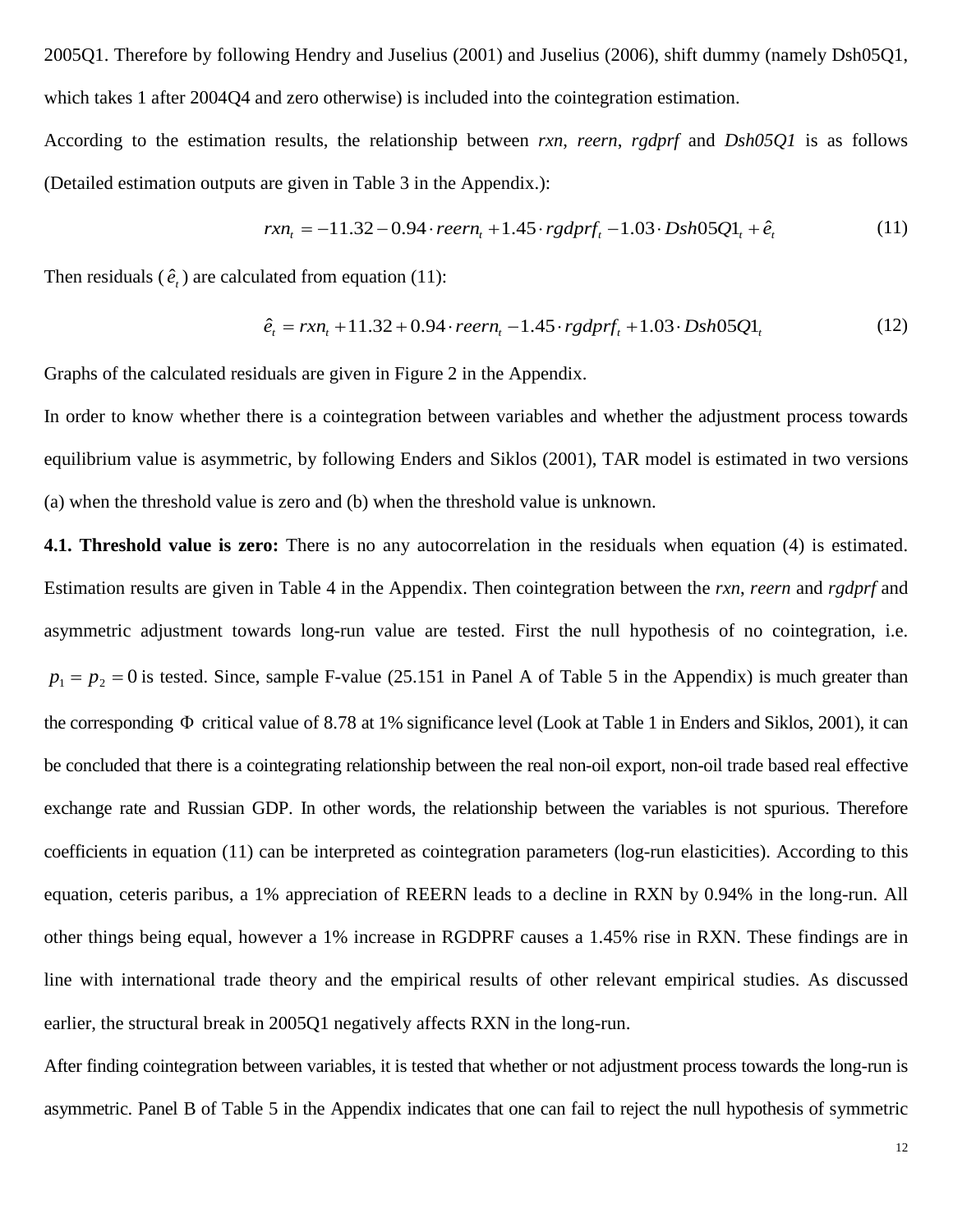2005Q1. Therefore by following Hendry and Juselius (2001) and Juselius (2006), shift dummy (namely Dsh05Q1, which takes 1 after 2004Q4 and zero otherwise) is included into the cointegration estimation.

According to the estimation results, the relationship between *rxn*, *reern*, *rgdprf* and *Dsh05Q1* is as follows (Detailed estimation outputs are given in Table 3 in the Appendix.):

$$
rxn_t = -11.32 - 0.94 \cdot reern_t + 1.45 \cdot rgdprf_t - 1.03 \cdot Dsh05Q1_t + \hat{e}_t
$$
\n(11)

Then residuals  $(\hat{e}_t)$  are calculated from equation (11):

$$
\hat{e}_t = rxn_t + 11.32 + 0.94 \cdot reern_t - 1.45 \cdot rgdprf_t + 1.03 \cdot Dsh05Q1_t \tag{12}
$$

Graphs of the calculated residuals are given in Figure 2 in the Appendix.

In order to know whether there is a cointegration between variables and whether the adjustment process towards equilibrium value is asymmetric, by following Enders and Siklos (2001), TAR model is estimated in two versions (a) when the threshold value is zero and (b) when the threshold value is unknown.

**4.1. Threshold value is zero:** There is no any autocorrelation in the residuals when equation (4) is estimated. Estimation results are given in Table 4 in the Appendix. Then cointegration between the *rxn*, *reern* and *rgdprf* and asymmetric adjustment towards long-run value are tested. First the null hypothesis of no cointegration, i.e.  $p_1 = p_2 = 0$  is tested. Since, sample F-value (25.151 in Panel A of Table 5 in the Appendix) is much greater than the corresponding Φ critical value of 8.78 at 1% significance level (Look at Table 1 in Enders and Siklos, 2001), it can be concluded that there is a cointegrating relationship between the real non-oil export, non-oil trade based real effective exchange rate and Russian GDP. In other words, the relationship between the variables is not spurious. Therefore coefficients in equation (11) can be interpreted as cointegration parameters (log-run elasticities). According to this equation, ceteris paribus, a 1% appreciation of REERN leads to a decline in RXN by 0.94% in the long-run. All other things being equal, however a 1% increase in RGDPRF causes a 1.45% rise in RXN. These findings are in line with international trade theory and the empirical results of other relevant empirical studies. As discussed earlier, the structural break in 2005Q1 negatively affects RXN in the long-run.

After finding cointegration between variables, it is tested that whether or not adjustment process towards the long-run is asymmetric. Panel B of Table 5 in the Appendix indicates that one can fail to reject the null hypothesis of symmetric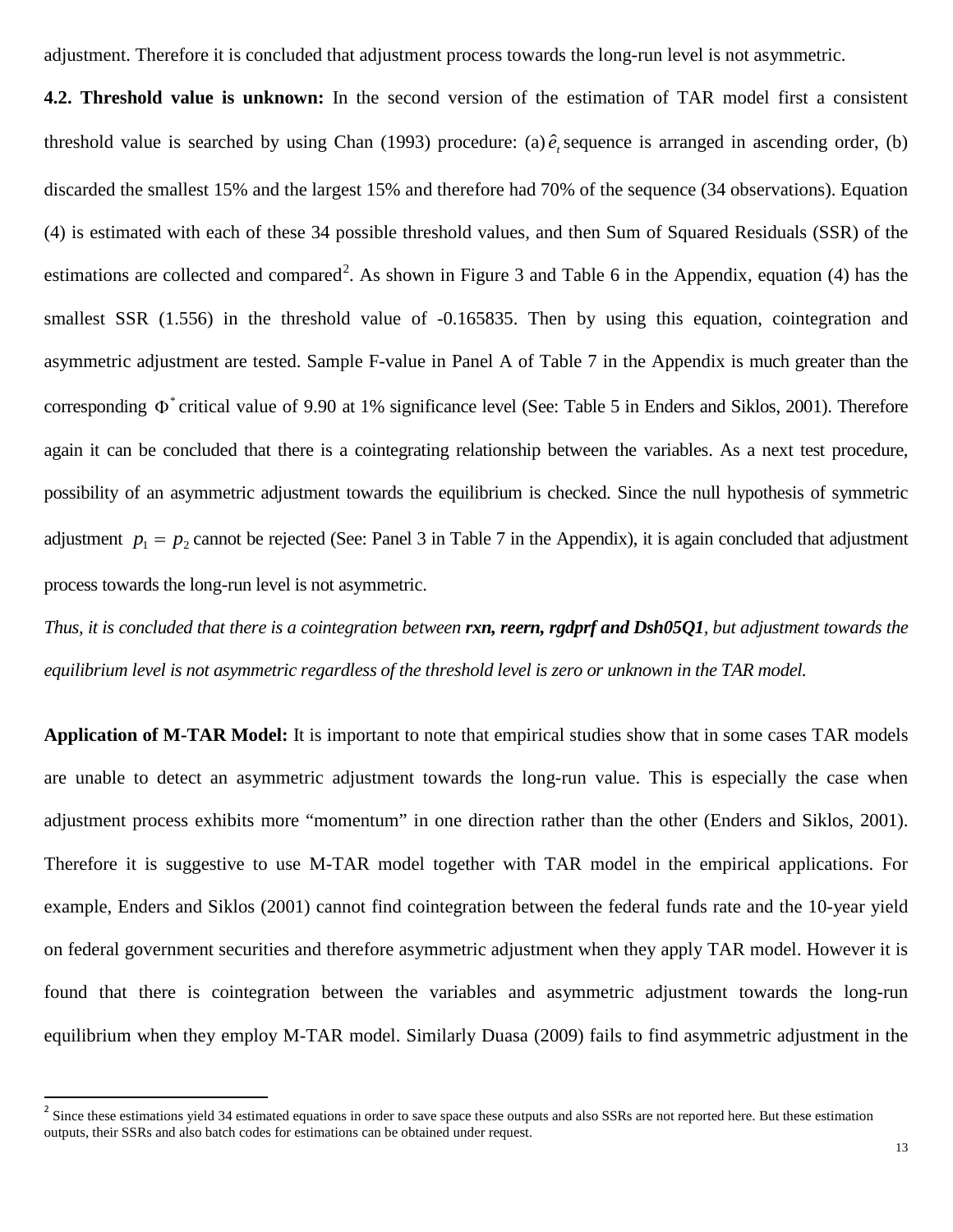adjustment. Therefore it is concluded that adjustment process towards the long-run level is not asymmetric.

**4.2. Threshold value is unknown:** In the second version of the estimation of TAR model first a consistent threshold value is searched by using Chan  $(1993)$  procedure:  $(a)$   $\hat{e}$ , sequence is arranged in ascending order,  $(b)$ discarded the smallest 15% and the largest 15% and therefore had 70% of the sequence (34 observations). Equation (4) is estimated with each of these 34 possible threshold values, and then Sum of Squared Residuals (SSR) of the estimations are collected and compared<sup>[2](#page-1-1)</sup>. As shown in Figure 3 and Table 6 in the Appendix, equation (4) has the smallest SSR (1.556) in the threshold value of -0.165835. Then by using this equation, cointegration and asymmetric adjustment are tested. Sample F-value in Panel A of Table 7 in the Appendix is much greater than the corresponding  $\Phi^*$  critical value of 9.90 at 1% significance level (See: Table 5 in Enders and Siklos, 2001). Therefore again it can be concluded that there is a cointegrating relationship between the variables. As a next test procedure, possibility of an asymmetric adjustment towards the equilibrium is checked. Since the null hypothesis of symmetric adjustment  $p_1 = p_2$  cannot be rejected (See: Panel 3 in Table 7 in the Appendix), it is again concluded that adjustment process towards the long-run level is not asymmetric.

*Thus, it is concluded that there is a cointegration between rxn, reern, rgdprf and Dsh05Q1, but adjustment towards the equilibrium level is not asymmetric regardless of the threshold level is zero or unknown in the TAR model.* 

**Application of M-TAR Model:** It is important to note that empirical studies show that in some cases TAR models are unable to detect an asymmetric adjustment towards the long-run value. This is especially the case when adjustment process exhibits more "momentum" in one direction rather than the other (Enders and Siklos, 2001). Therefore it is suggestive to use M-TAR model together with TAR model in the empirical applications. For example, Enders and Siklos (2001) cannot find cointegration between the federal funds rate and the 10-year yield on federal government securities and therefore asymmetric adjustment when they apply TAR model. However it is found that there is cointegration between the variables and asymmetric adjustment towards the long-run equilibrium when they employ M-TAR model. Similarly Duasa (2009) fails to find asymmetric adjustment in the

<span id="page-13-0"></span> $2^2$  Since these estimations yield 34 estimated equations in order to save space these outputs and also SSRs are not reported here. But these estimation outputs, their SSRs and also batch codes for estimations can be obtained under request.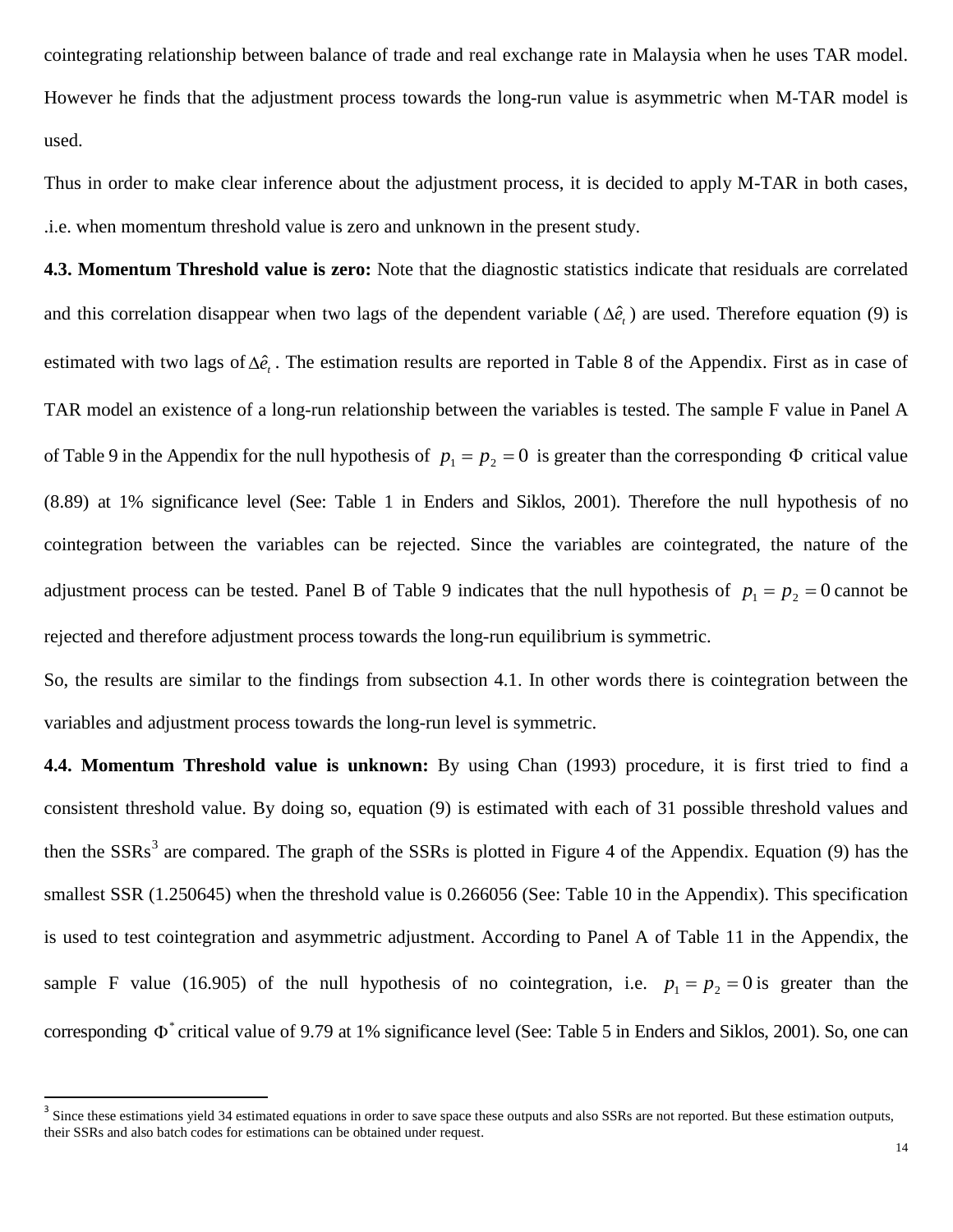cointegrating relationship between balance of trade and real exchange rate in Malaysia when he uses TAR model. However he finds that the adjustment process towards the long-run value is asymmetric when M-TAR model is used.

Thus in order to make clear inference about the adjustment process, it is decided to apply M-TAR in both cases, .i.e. when momentum threshold value is zero and unknown in the present study.

**4.3. Momentum Threshold value is zero:** Note that the diagnostic statistics indicate that residuals are correlated and this correlation disappear when two lags of the dependent variable ( $\Delta \hat{e}$ ) are used. Therefore equation (9) is estimated with two lags of  $\Delta \hat{e}$ . The estimation results are reported in Table 8 of the Appendix. First as in case of TAR model an existence of a long-run relationship between the variables is tested. The sample F value in Panel A of Table 9 in the Appendix for the null hypothesis of  $p_1 = p_2 = 0$  is greater than the corresponding  $\Phi$  critical value (8.89) at 1% significance level (See: Table 1 in Enders and Siklos, 2001). Therefore the null hypothesis of no cointegration between the variables can be rejected. Since the variables are cointegrated, the nature of the adjustment process can be tested. Panel B of Table 9 indicates that the null hypothesis of  $p_1 = p_2 = 0$  cannot be rejected and therefore adjustment process towards the long-run equilibrium is symmetric.

So, the results are similar to the findings from subsection 4.1. In other words there is cointegration between the variables and adjustment process towards the long-run level is symmetric.

**4.4. Momentum Threshold value is unknown:** By using Chan (1993) procedure, it is first tried to find a consistent threshold value. By doing so, equation (9) is estimated with each of 31 possible threshold values and then the SSRs<sup>[3](#page-13-0)</sup> are compared. The graph of the SSRs is plotted in Figure 4 of the Appendix. Equation (9) has the smallest SSR (1.250645) when the threshold value is 0.266056 (See: Table 10 in the Appendix). This specification is used to test cointegration and asymmetric adjustment. According to Panel A of Table 11 in the Appendix, the sample F value (16.905) of the null hypothesis of no cointegration, i.e.  $p_1 = p_2 = 0$  is greater than the corresponding  $\Phi^*$  critical value of 9.79 at 1% significance level (See: Table 5 in Enders and Siklos, 2001). So, one can

<sup>&</sup>lt;sup>3</sup> Since these estimations yield 34 estimated equations in order to save space these outputs and also SSRs are not reported. But these estimation outputs, their SSRs and also batch codes for estimations can be obtained under request.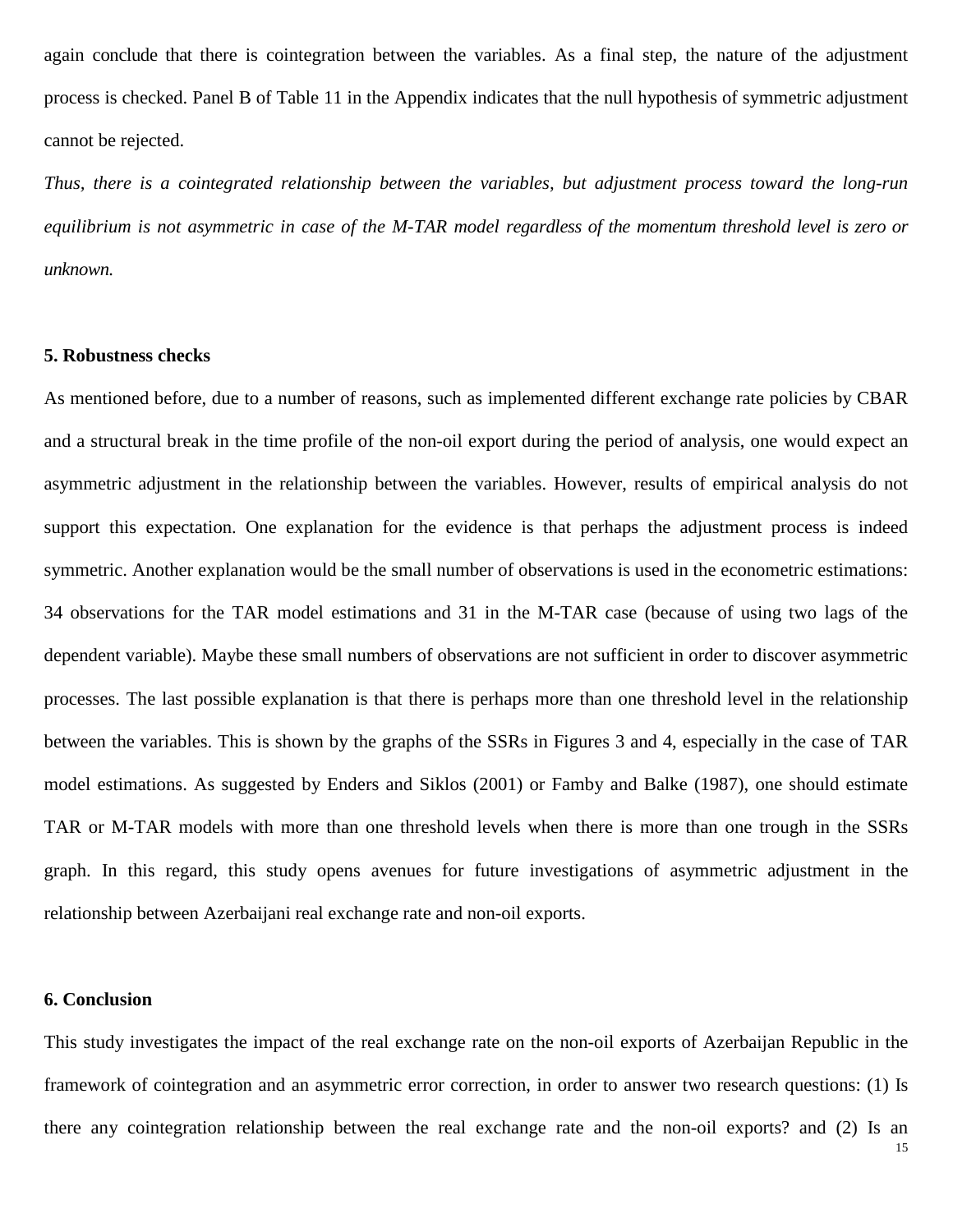again conclude that there is cointegration between the variables. As a final step, the nature of the adjustment process is checked. Panel B of Table 11 in the Appendix indicates that the null hypothesis of symmetric adjustment cannot be rejected.

*Thus, there is a cointegrated relationship between the variables, but adjustment process toward the long-run equilibrium is not asymmetric in case of the M-TAR model regardless of the momentum threshold level is zero or unknown.*

# **5. Robustness checks**

As mentioned before, due to a number of reasons, such as implemented different exchange rate policies by CBAR and a structural break in the time profile of the non-oil export during the period of analysis, one would expect an asymmetric adjustment in the relationship between the variables. However, results of empirical analysis do not support this expectation. One explanation for the evidence is that perhaps the adjustment process is indeed symmetric. Another explanation would be the small number of observations is used in the econometric estimations: 34 observations for the TAR model estimations and 31 in the M-TAR case (because of using two lags of the dependent variable). Maybe these small numbers of observations are not sufficient in order to discover asymmetric processes. The last possible explanation is that there is perhaps more than one threshold level in the relationship between the variables. This is shown by the graphs of the SSRs in Figures 3 and 4, especially in the case of TAR model estimations. As suggested by Enders and Siklos (2001) or Famby and Balke (1987), one should estimate TAR or M-TAR models with more than one threshold levels when there is more than one trough in the SSRs graph. In this regard, this study opens avenues for future investigations of asymmetric adjustment in the relationship between Azerbaijani real exchange rate and non-oil exports.

# **6. Conclusion**

This study investigates the impact of the real exchange rate on the non-oil exports of Azerbaijan Republic in the framework of cointegration and an asymmetric error correction, in order to answer two research questions: (1) Is there any cointegration relationship between the real exchange rate and the non-oil exports? and (2) Is an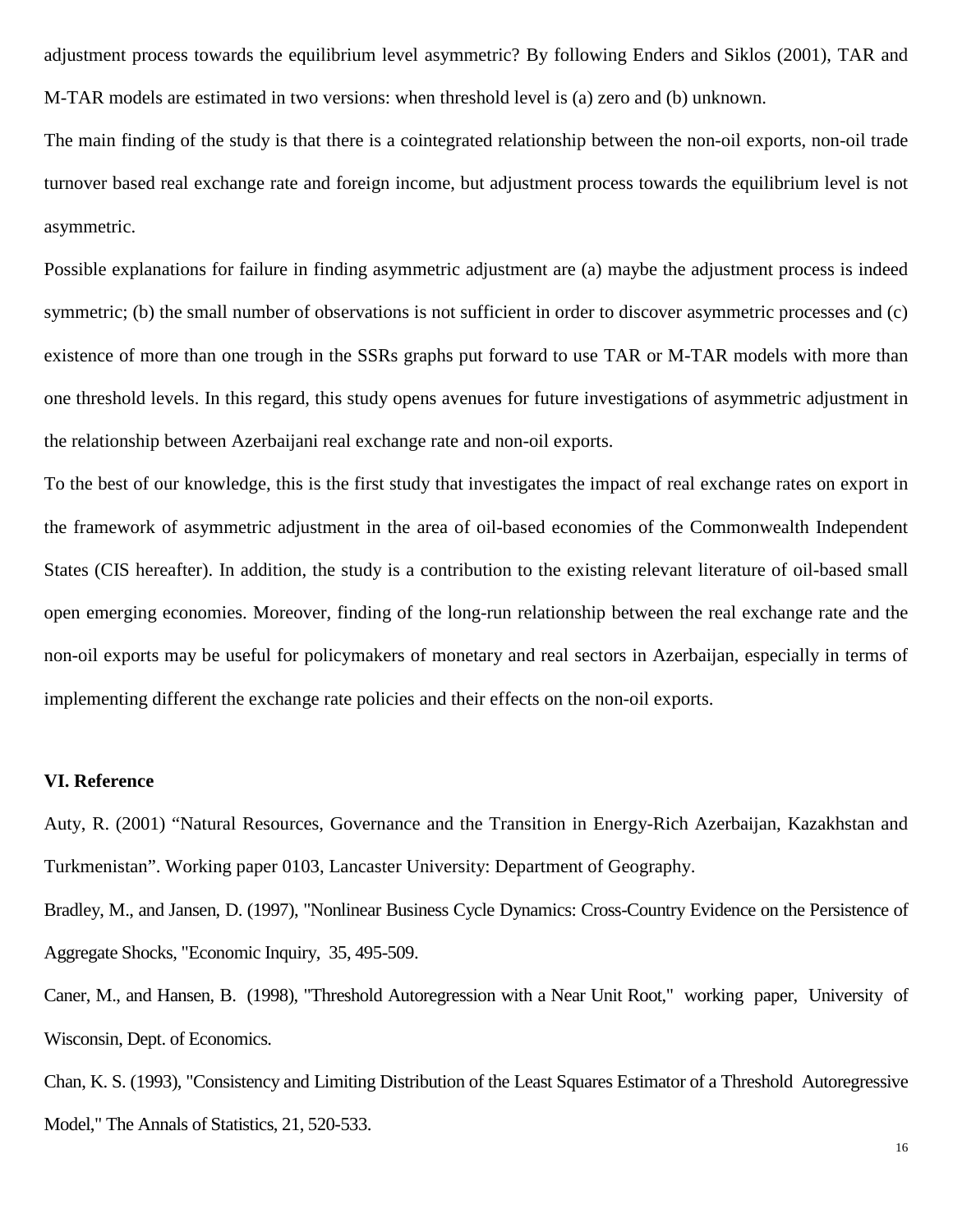adjustment process towards the equilibrium level asymmetric? By following Enders and Siklos (2001), TAR and M-TAR models are estimated in two versions: when threshold level is (a) zero and (b) unknown.

The main finding of the study is that there is a cointegrated relationship between the non-oil exports, non-oil trade turnover based real exchange rate and foreign income, but adjustment process towards the equilibrium level is not asymmetric.

Possible explanations for failure in finding asymmetric adjustment are (a) maybe the adjustment process is indeed symmetric; (b) the small number of observations is not sufficient in order to discover asymmetric processes and (c) existence of more than one trough in the SSRs graphs put forward to use TAR or M-TAR models with more than one threshold levels. In this regard, this study opens avenues for future investigations of asymmetric adjustment in the relationship between Azerbaijani real exchange rate and non-oil exports.

To the best of our knowledge, this is the first study that investigates the impact of real exchange rates on export in the framework of asymmetric adjustment in the area of oil-based economies of the Commonwealth Independent States (CIS hereafter). In addition, the study is a contribution to the existing relevant literature of oil-based small open emerging economies. Moreover, finding of the long-run relationship between the real exchange rate and the non-oil exports may be useful for policymakers of monetary and real sectors in Azerbaijan, especially in terms of implementing different the exchange rate policies and their effects on the non-oil exports.

## **VI. Reference**

Auty, R. (2001) "Natural Resources, Governance and the Transition in Energy-Rich Azerbaijan, Kazakhstan and Turkmenistan". Working paper 0103, Lancaster University: Department of Geography.

Bradley, M., and Jansen, D. (1997), "Nonlinear Business Cycle Dynamics: Cross-Country Evidence on the Persistence of Aggregate Shocks, "Economic Inquiry, 35, 495-509.

Caner, M., and Hansen, B. (1998), "Threshold Autoregression with a Near Unit Root," working paper, University of Wisconsin, Dept. of Economics.

Chan, K. S. (1993), "Consistency and Limiting Distribution of the Least Squares Estimator of a Threshold Autoregressive Model," The Annals of Statistics, 21, 520-533.

16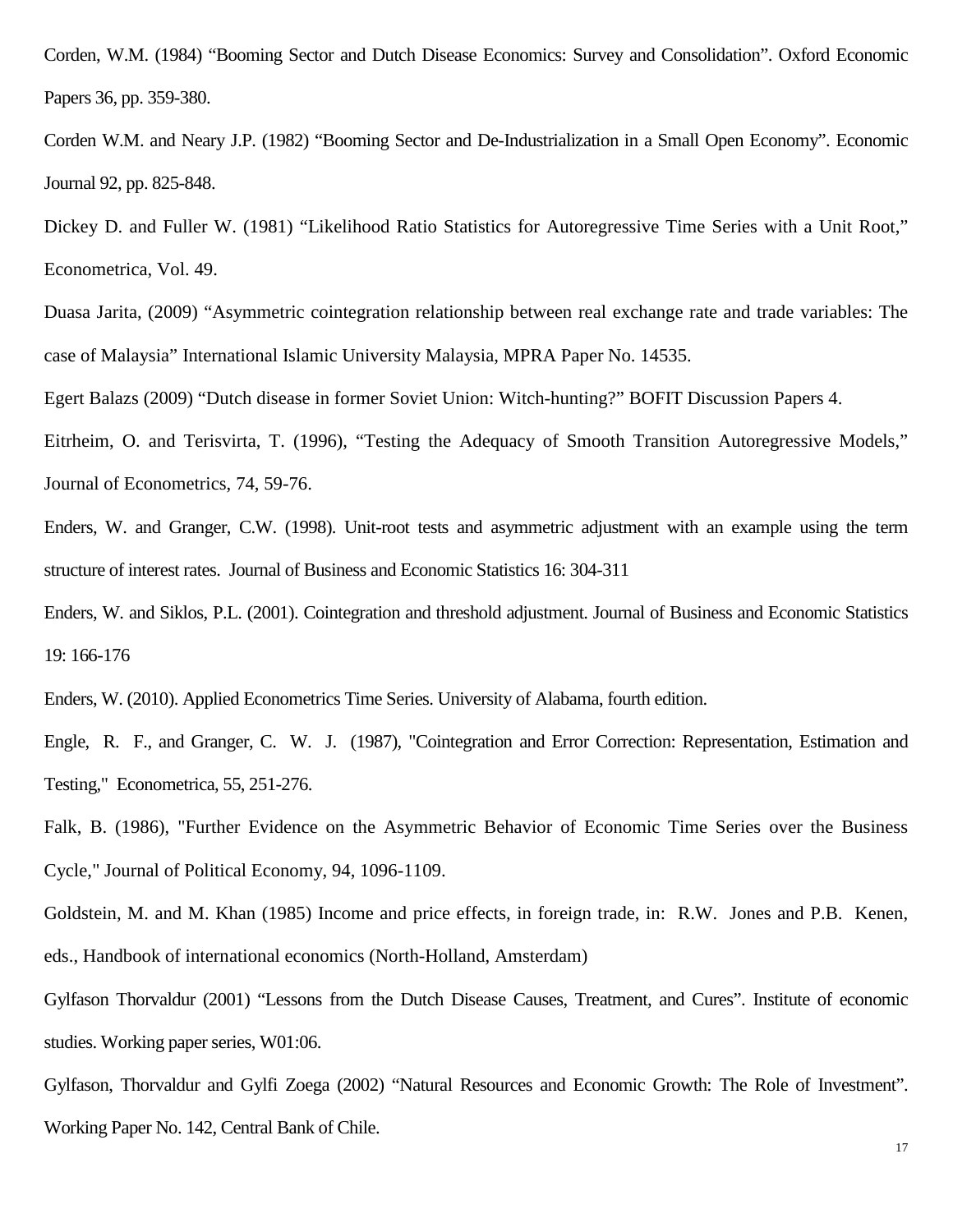Corden, W.M. (1984) "Booming Sector and Dutch Disease Economics: Survey and Consolidation". Oxford Economic Papers 36, pp. 359-380.

Corden W.M. and Neary J.P. (1982) "Booming Sector and De-Industrialization in a Small Open Economy". Economic Journal 92, pp. 825-848.

Dickey D. and Fuller W. (1981) "Likelihood Ratio Statistics for Autoregressive Time Series with a Unit Root," Econometrica, Vol. 49.

Duasa Jarita, (2009) "Asymmetric cointegration relationship between real exchange rate and trade variables: The case of Malaysia" International Islamic University Malaysia, MPRA Paper No. 14535.

Egert Balazs (2009) "Dutch disease in former Soviet Union: Witch-hunting?" BOFIT Discussion Papers 4.

Eitrheim, O. and Terisvirta, T. (1996), "Testing the Adequacy of Smooth Transition Autoregressive Models," Journal of Econometrics, 74, 59-76.

Enders, W. and Granger, C.W. (1998). Unit-root tests and asymmetric adjustment with an example using the term structure of interest rates. Journal of Business and Economic Statistics 16: 304-311

Enders, W. and Siklos, P.L. (2001). Cointegration and threshold adjustment. Journal of Business and Economic Statistics 19: 166-176

Enders, W. (2010). Applied Econometrics Time Series. University of Alabama, fourth edition.

Engle, R. F., and Granger, C. W. J. (1987), "Cointegration and Error Correction: Representation, Estimation and Testing," Econometrica, 55, 251-276.

Falk, B. (1986), "Further Evidence on the Asymmetric Behavior of Economic Time Series over the Business Cycle," Journal of Political Economy, 94, 1096-1109.

Goldstein, M. and M. Khan (1985) Income and price effects, in foreign trade, in: R.W. Jones and P.B. Kenen, eds., Handbook of international economics (North-Holland, Amsterdam)

Gylfason Thorvaldur (2001) "Lessons from the Dutch Disease Causes, Treatment, and Cures". Institute of economic studies. Working paper series, W01:06.

Gylfason, Thorvaldur and Gylfi Zoega (2002) "Natural Resources and Economic Growth: The Role of Investment". Working Paper No. 142, Central Bank of Chile.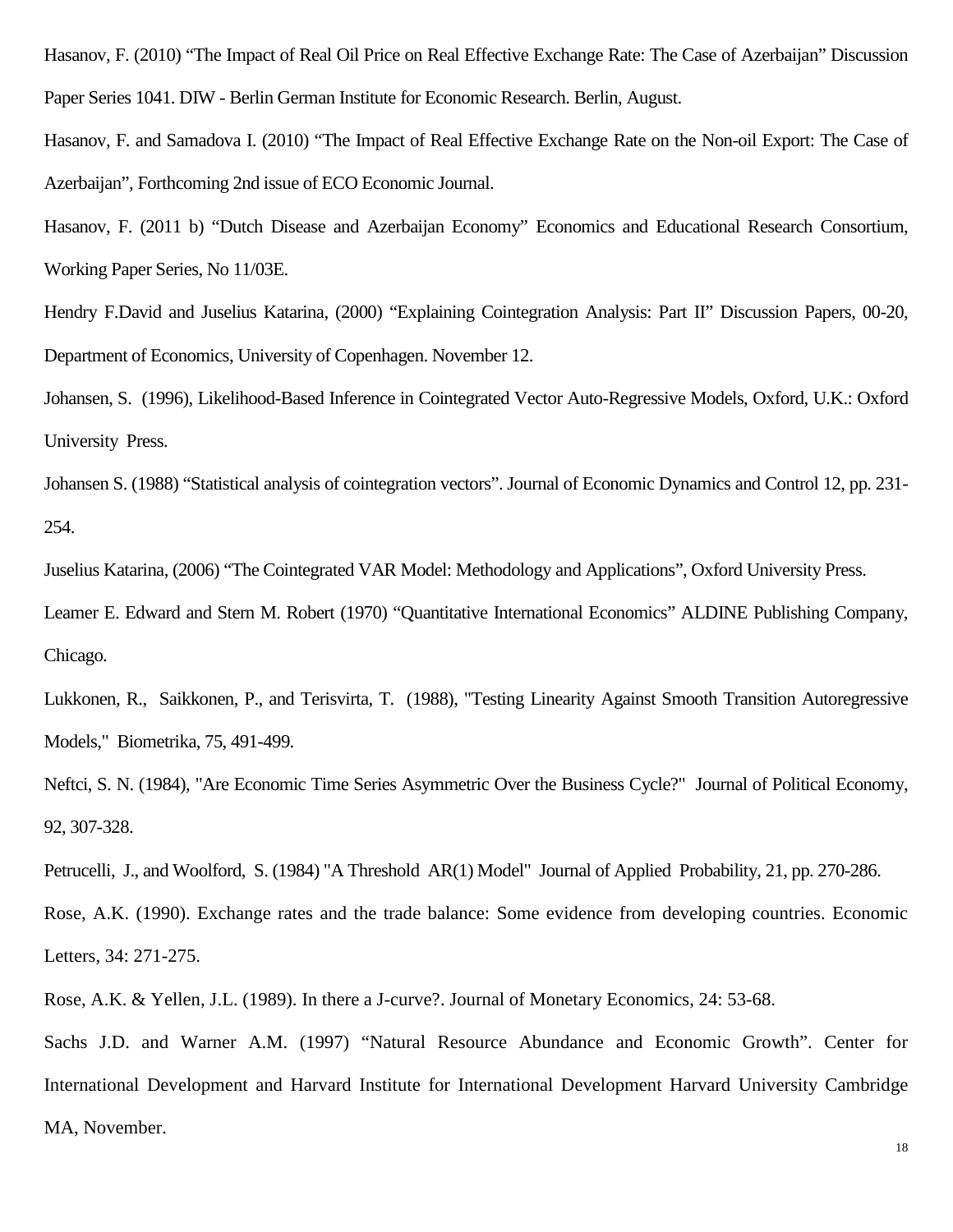Hasanov, F. (2010) "The Impact of Real Oil Price on Real Effective Exchange Rate: The Case of Azerbaijan" Discussion Paper Series 1041. DIW - Berlin German Institute for Economic Research. Berlin, August.

Hasanov, F. and Samadova I. (2010) "The Impact of Real Effective Exchange Rate on the Non-oil Export: The Case of Azerbaijan", Forthcoming 2nd issue of ECO Economic Journal.

Hasanov, F. (2011 b) "Dutch Disease and Azerbaijan Economy" Economics and Educational Research Consortium, Working Paper Series, No 11/03E.

Hendry F.David and Juselius Katarina, (2000) "Explaining Cointegration Analysis: Part II" Discussion Papers, 00-20, Department of Economics, University of Copenhagen. November 12.

Johansen, S. (1996), Likelihood-Based Inference in Cointegrated Vector Auto-Regressive Models, Oxford, U.K.: Oxford University Press.

Johansen S. (1988) "Statistical analysis of cointegration vectors". Journal of Economic Dynamics and Control 12, pp. 231- 254.

Juselius Katarina, (2006) "The Cointegrated VAR Model: Methodology and Applications", Oxford University Press.

Leamer E. Edward and Stern M. Robert (1970) "Quantitative International Economics" ALDINE Publishing Company, Chicago.

Lukkonen, R., Saikkonen, P., and Terisvirta, T. (1988), "Testing Linearity Against Smooth Transition Autoregressive Models," Biometrika, 75, 491-499.

Neftci, S. N. (1984), "Are Economic Time Series Asymmetric Over the Business Cycle?" Journal of Political Economy, 92, 307-328.

Petrucelli, J., and Woolford, S. (1984) "A Threshold AR(1) Model" Journal of Applied Probability, 21, pp. 270-286.

Rose, A.K. (1990). Exchange rates and the trade balance: Some evidence from developing countries. Economic Letters, 34: 271-275.

Rose, A.K. & Yellen, J.L. (1989). In there a J-curve?. Journal of Monetary Economics, 24: 53-68.

Sachs J.D. and Warner A.M. (1997) "Natural Resource Abundance and Economic Growth". Center for International Development and Harvard Institute for International Development Harvard University Cambridge MA, November.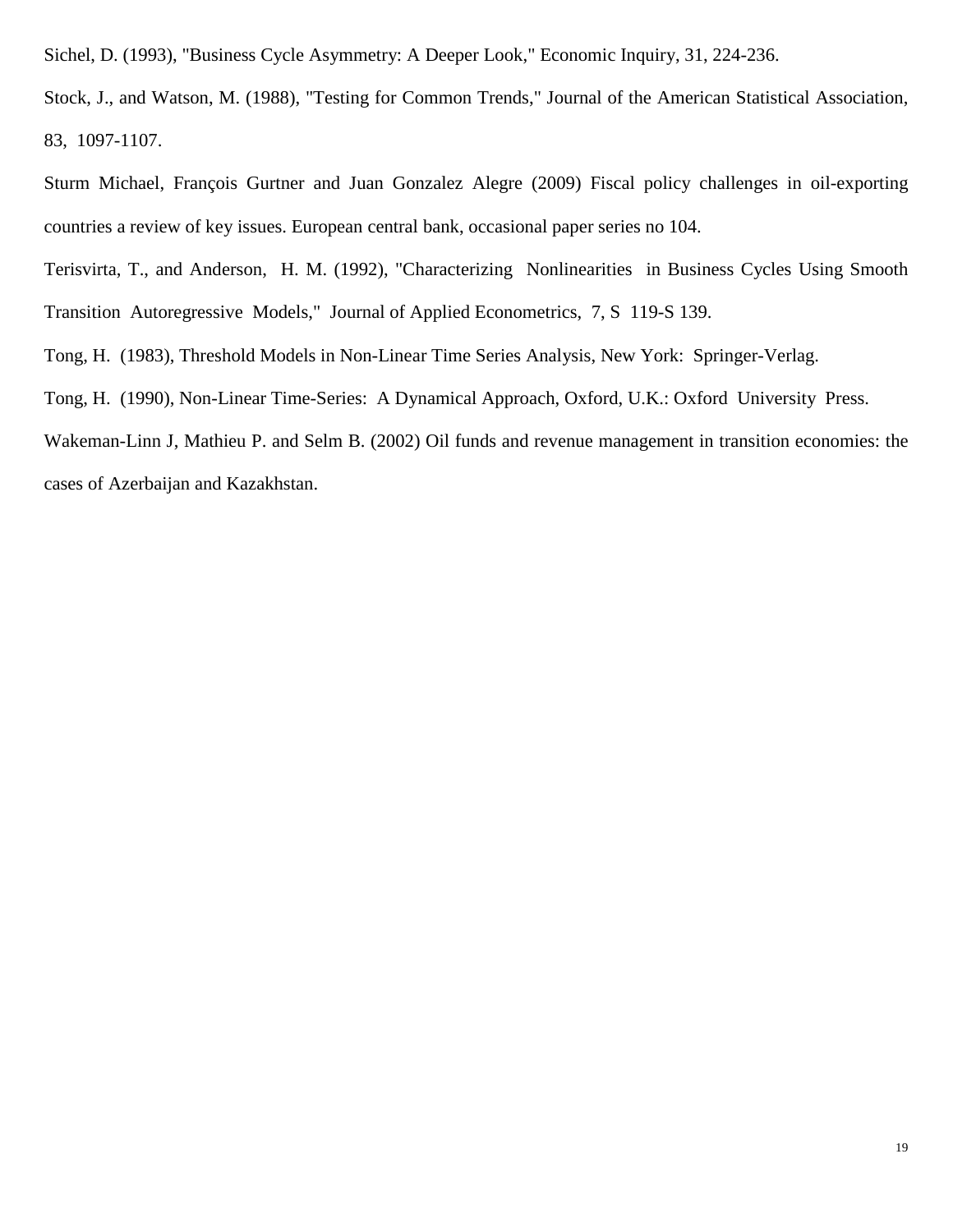Sichel, D. (1993), "Business Cycle Asymmetry: A Deeper Look," Economic Inquiry, 31, 224-236.

Stock, J., and Watson, M. (1988), "Testing for Common Trends," Journal of the American Statistical Association, 83, 1097-1107.

Sturm Michael, François Gurtner and Juan Gonzalez Alegre (2009) Fiscal policy challenges in oil-exporting countries a review of key issues. European central bank, occasional paper series no 104.

Terisvirta, T., and Anderson, H. M. (1992), "Characterizing Nonlinearities in Business Cycles Using Smooth Transition Autoregressive Models," Journal of Applied Econometrics, 7, S 119-S 139.

Tong, H. (1983), Threshold Models in Non-Linear Time Series Analysis, New York: Springer-Verlag.

Tong, H. (1990), Non-Linear Time-Series: A Dynamical Approach, Oxford, U.K.: Oxford University Press.

Wakeman-Linn J, Mathieu P. and Selm B. (2002) Oil funds and revenue management in transition economies: the cases of Azerbaijan and Kazakhstan.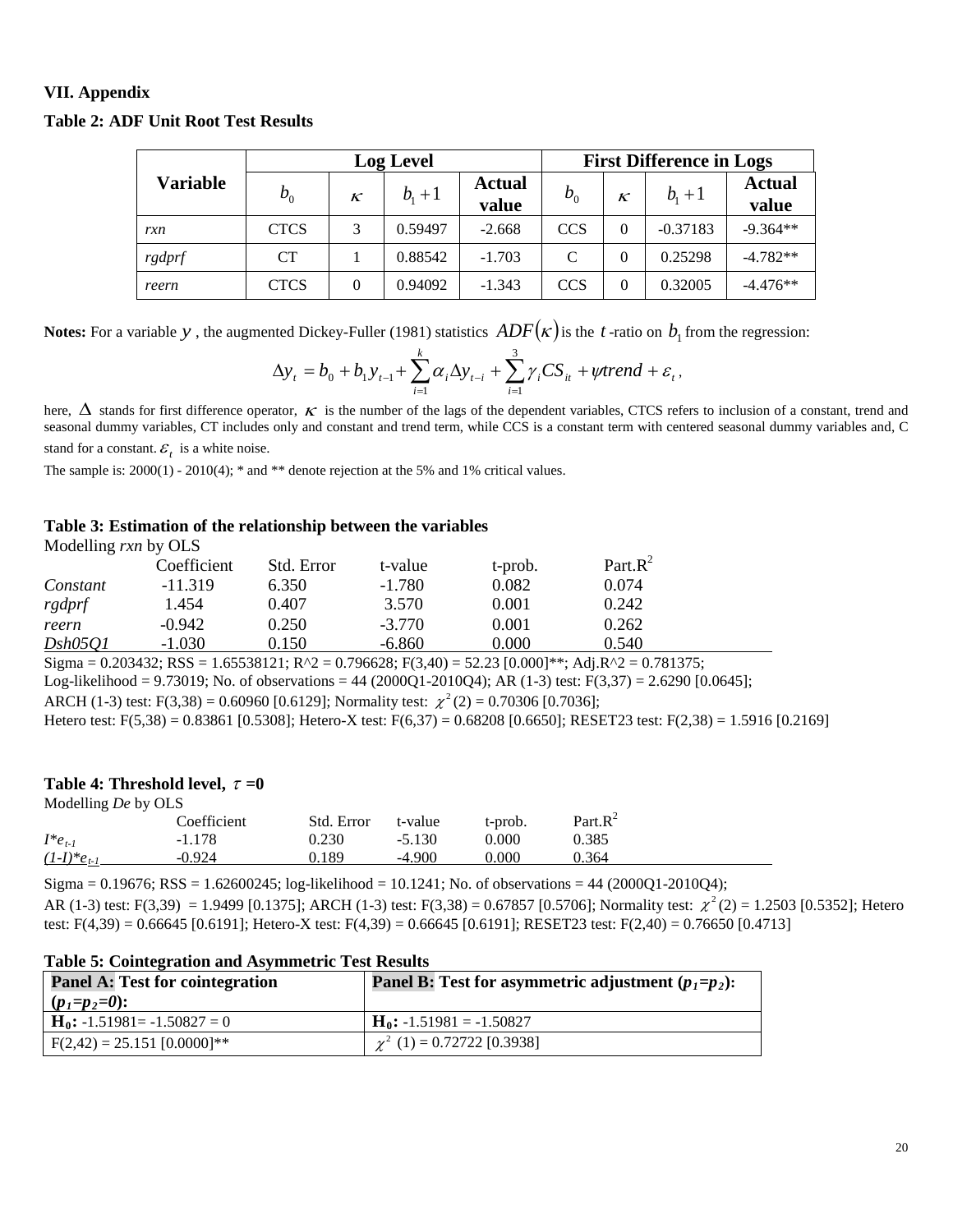# **VII. Appendix**

|                 |             | <b>Log Level</b> |           |                 | <b>First Difference in Logs</b> |          |            |                        |
|-----------------|-------------|------------------|-----------|-----------------|---------------------------------|----------|------------|------------------------|
| <b>Variable</b> | $b_{0}$     | $\kappa$         | $b_{1}+1$ | Actual<br>value | $b_{0}$                         | $\kappa$ | $b_{1}+1$  | <b>Actual</b><br>value |
| rxn             | <b>CTCS</b> | 3                | 0.59497   | $-2.668$        | <b>CCS</b>                      | $\Omega$ | $-0.37183$ | $-9.364**$             |
| rgdprf          | <b>CT</b>   |                  | 0.88542   | $-1.703$        | C                               | $\Omega$ | 0.25298    | $-4.782**$             |
| reern           | <b>CTCS</b> | $\Omega$         | 0.94092   | $-1.343$        | <b>CCS</b>                      | $\Omega$ | 0.32005    | $-4.476**$             |

#### **Table 2: ADF Unit Root Test Results**

**Notes:** For a variable *y*, the augmented Dickey-Fuller (1981) statistics  $ADF(k)$  is the *t*-ratio on  $b_1$  from the regression:

$$
\Delta y_t = b_0 + b_1 y_{t-1} + \sum_{i=1}^k \alpha_i \Delta y_{t-i} + \sum_{i=1}^3 \gamma_i CS_{it} + \psi trend + \varepsilon_t,
$$

here,  $\Delta$  stands for first difference operator,  $\kappa$  is the number of the lags of the dependent variables, CTCS refers to inclusion of a constant, trend and seasonal dummy variables, CT includes only and constant and trend term, while CCS is a constant term with centered seasonal dummy variables and, C stand for a constant.  $\mathcal{E}_t$  is a white noise.

The sample is:  $2000(1)$  -  $2010(4)$ ; \* and \*\* denote rejection at the 5% and 1% critical values.

#### **Table 3: Estimation of the relationship between the variables**

Modelling *rxn* by OLS

|          | Coefficient | Std. Error | t-value  | t-prob. | Part. $R^2$ |
|----------|-------------|------------|----------|---------|-------------|
| Constant | $-11.319$   | 6.350      | $-1.780$ | 0.082   | 0.074       |
| rgdprf   | 1.454       | 0.407      | 3.570    | 0.001   | 0.242       |
| reern    | $-0.942$    | 0.250      | $-3.770$ | 0.001   | 0.262       |
| Dsh05O1  | $-1.030$    | 0.150      | $-6.860$ | 9.000   | 0.540       |

Sigma =  $0.203432$ ; RSS =  $1.65538121$ ; R^2 =  $0.796628$ ; F(3,40) =  $52.23$  [0.000]\*\*; Adj.R^2 = 0.781375;

Log-likelihood = 9.73019; No. of observations = 44 (2000Q1-2010Q4); AR (1-3) test:  $F(3,37) = 2.6290$  [0.0645];

ARCH (1-3) test: F(3,38) = 0.60960 [0.6129]; Normality test:  $\chi^2$ (2) = 0.70306 [0.7036];

Hetero test: F(5,38) = 0.83861 [0.5308]; Hetero-X test: F(6,37) = 0.68208 [0.6650]; RESET23 test: F(2,38) = 1.5916 [0.2169]

#### **Table 4: Threshold level,**  $\tau = 0$

| Modelling De by OLS |             |            |          |         |             |  |
|---------------------|-------------|------------|----------|---------|-------------|--|
|                     | Coefficient | Std. Error | t-value  | t-prob. | Part. $R^2$ |  |
| $I^*e_{t-1}$        | $-1.178$    | 0.230      | $-5.130$ | 0.000   | 0.385       |  |
| $(1-I)^*e_{t-1}$    | $-0.924$    | 0.189      | $-4.900$ | 000.ر   | 0.364       |  |

Sigma =  $0.19676$ ; RSS =  $1.62600245$ ; log-likelihood =  $10.1241$ ; No. of observations =  $44$  (2000Q1-2010Q4); AR (1-3) test: F(3,39) = 1.9499 [0.1375]; ARCH (1-3) test: F(3,38) = 0.67857 [0.5706]; Normality test:  $\chi^2(2) = 1.2503$  [0.5352]; Hetero test:  $F(4,39) = 0.66645$  [0.6191]; Hetero-X test:  $F(4,39) = 0.66645$  [0.6191]; RESET23 test:  $F(2,40) = 0.76650$  [0.4713]

| <b>Panel A: Test for cointegration</b><br>$(p_1=p_2=0)$ : | <b>Panel B:</b> Test for asymmetric adjustment $(p_1=p_2)$ : |
|-----------------------------------------------------------|--------------------------------------------------------------|
| $H_0$ : -1.51981= -1.50827 = 0                            | $H_0$ : -1.51981 = -1.50827                                  |
| $F(2,42) = 25.151 [0.0000]$ **                            | $\chi^2$ (1) = 0.72722 [0.3938]                              |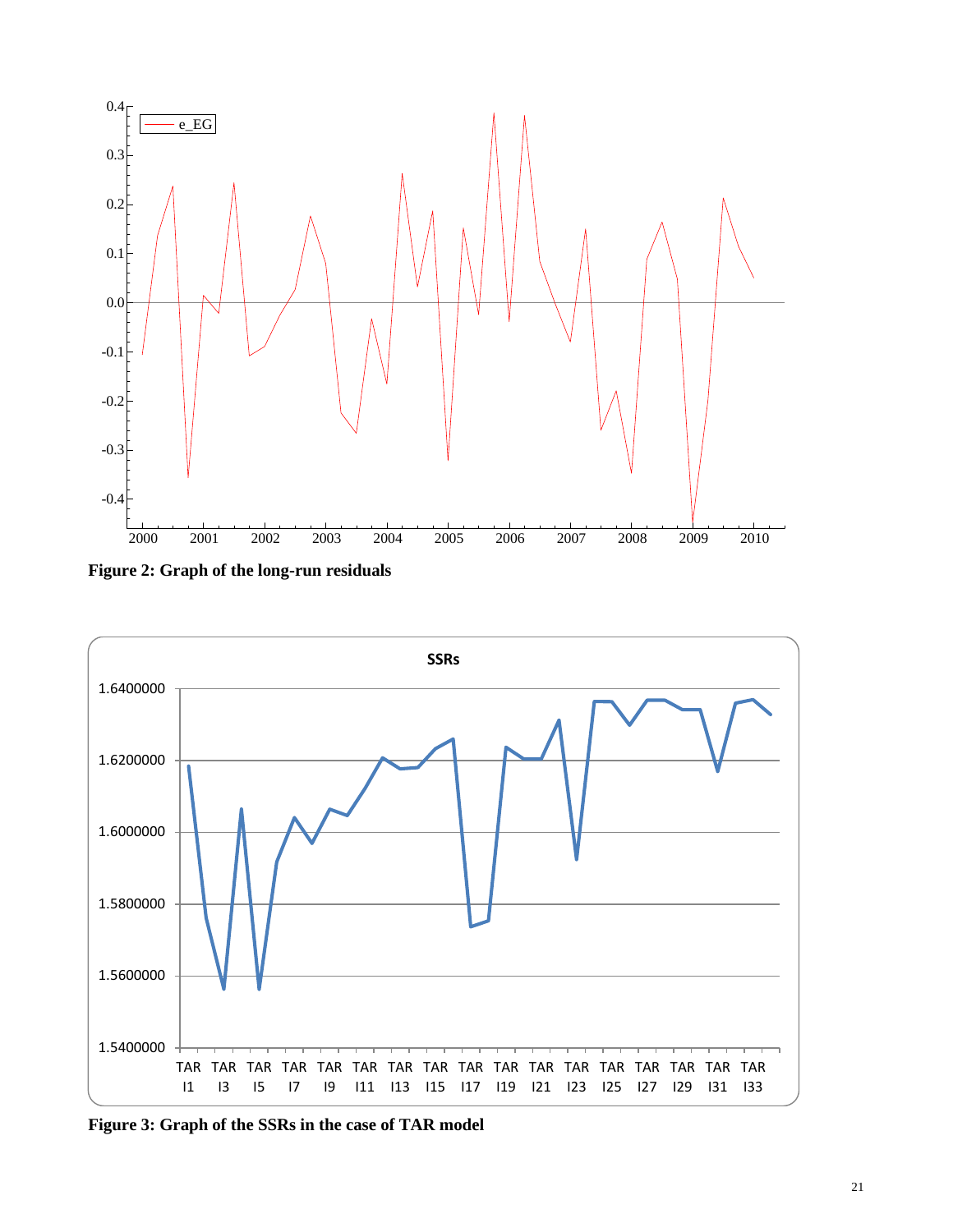

**Figure 2: Graph of the long-run residuals**



**Figure 3: Graph of the SSRs in the case of TAR model**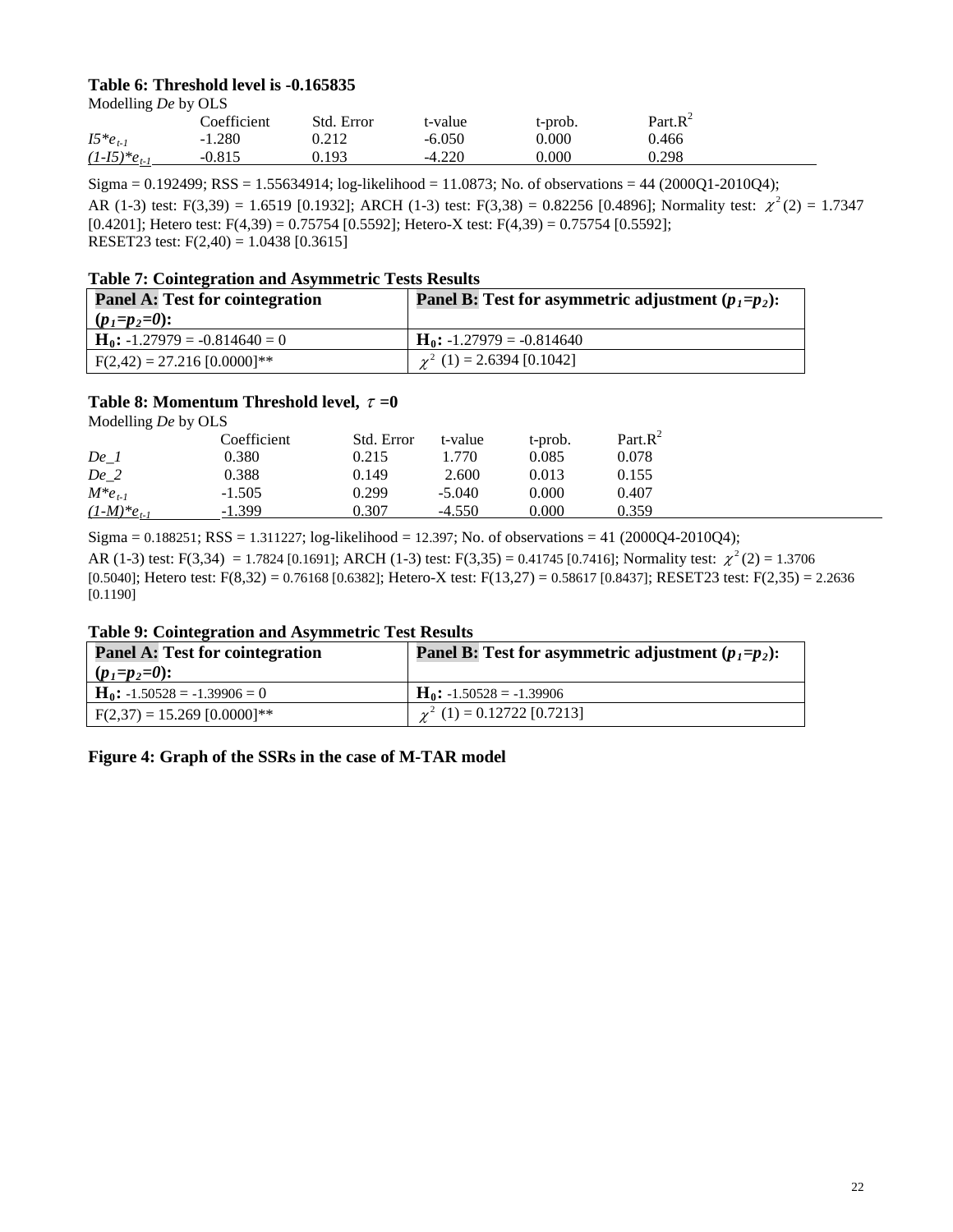# **Table 6: Threshold level is -0.165835**

Modelling *De* by OLS

| Part. $R^2$<br>Coefficient<br>Std. Error<br>t-value<br>t-prob.    |  |
|-------------------------------------------------------------------|--|
| $I5*e_{t-1}$<br>$-1.280$<br>$-6.050$<br>0.000<br>0.466<br>0.212   |  |
| $-4.220$<br>0.298<br>$(1-I5)*e_{t}$<br>0.193<br>0.000<br>$-0.815$ |  |

Sigma = 0.192499; RSS = 1.55634914; log-likelihood = 11.0873; No. of observations = 44 (2000Q1-2010Q4); AR (1-3) test: F(3,39) = 1.6519 [0.1932]; ARCH (1-3) test: F(3,38) = 0.82256 [0.4896]; Normality test:  $\chi^2(2) = 1.7347$ [0.4201]; Hetero test: F(4,39) = 0.75754 [0.5592]; Hetero-X test: F(4,39) = 0.75754 [0.5592]; RESET23 test: F(2,40) = 1.0438 [0.3615]

#### **Table 7: Cointegration and Asymmetric Tests Results**

| <b>Panel A: Test for cointegration</b> | <b>Panel B:</b> Test for asymmetric adjustment $(p_1=p_2)$ : |
|----------------------------------------|--------------------------------------------------------------|
| $(p_1=p_2=0)$ :                        |                                                              |
| $H_0$ : -1.27979 = -0.814640 = 0       | $H_0$ : -1.27979 = -0.814640                                 |
| $F(2,42) = 27.216 [0.0000]$ **         | $\chi^2$ (1) = 2.6394 [0.1042]                               |

#### **Table 8: Momentum Threshold level,** <sup>τ</sup> **=0**

Modelling *De* by OLS

|                  | Coefficient | Std. Error | t-value  | t-prob. | $Part.R^2$ |
|------------------|-------------|------------|----------|---------|------------|
| De <sub>1</sub>  | 0.380       | 0.215      | 1.770    | 0.085   | 0.078      |
| De 2             | 0.388       | 0.149      | 2.600    | 0.013   | 0.155      |
| $M * e_{t-1}$    | $-1.505$    | 0.299      | $-5.040$ | 0.000   | 0.407      |
| $(1-M)^*e_{t-1}$ | $-1.399$    | 0.307      | $-4.550$ | 0.000   | 0.359      |

Sigma =  $0.188251$ ; RSS =  $1.311227$ ; log-likelihood =  $12.397$ ; No. of observations =  $41$  (2000Q4-2010Q4);

AR (1-3) test: F(3,34) = 1.7824 [0.1691]; ARCH (1-3) test: F(3,35) = 0.41745 [0.7416]; Normality test:  $\chi^2(2) = 1.3706$ [0.5040]; Hetero test: F(8,32) = 0.76168 [0.6382]; Hetero-X test: F(13,27) = 0.58617 [0.8437]; RESET23 test: F(2,35) = 2.2636 [0.1190]

## **Table 9: Cointegration and Asymmetric Test Results**

| <b>Panel A: Test for cointegration</b> | <b>Panel B:</b> Test for asymmetric adjustment $(p_1=p_2)$ : |
|----------------------------------------|--------------------------------------------------------------|
| $(p_1=p_2=0)$ :                        |                                                              |
| $H_0$ : -1.50528 = -1.39906 = 0        | $H_0$ : -1.50528 = -1.39906                                  |
| $F(2,37) = 15.269 [0.0000]$ **         | $\gamma^2$ (1) = 0.12722 [0.7213]                            |

**Figure 4: Graph of the SSRs in the case of M-TAR model**